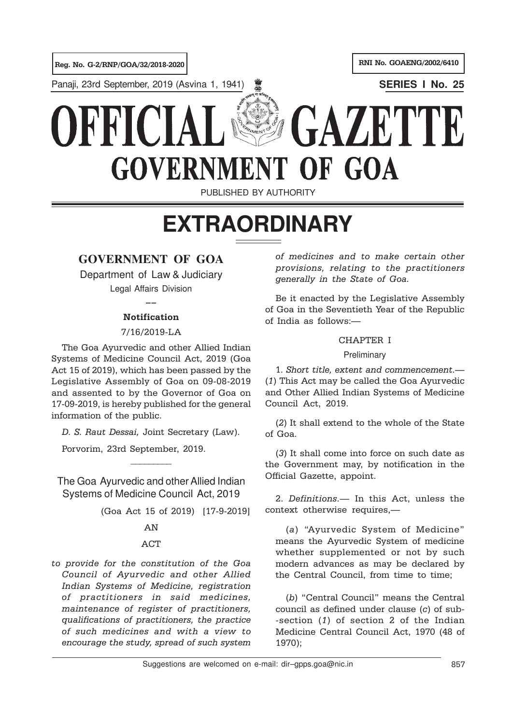Panaji, 23rd September, 2019 (Asvina 1, 1941) **SERIES I No. 25**

# GAZETT KKK **GOVERNMENT** OF GOA

PUBLISHED BY AUTHORITY

# **EXTRAORDINARY**

# **GOVERNMENT OF GOA**

Department of Law & Judiciary Legal Affairs Division

 $\overline{\phantom{a}}$ 

# **Notification**

# 7/16/2019-LA

The Goa Ayurvedic and other Allied Indian Systems of Medicine Council Act, 2019 (Goa Act 15 of 2019), which has been passed by the Legislative Assembly of Goa on 09-08-2019 and assented to by the Governor of Goa on 17-09-2019, is hereby published for the general information of the public.

D. S. Raut Dessai, Joint Secretary (Law).

 $\overline{\phantom{a}}$ 

Porvorim, 23rd September, 2019.

The Goa Ayurvedic and other Allied Indian Systems of Medicine Council Act, 2019

(Goa Act 15 of 2019) [17-9-2019]

# AN

# ACT

to provide for the constitution of the Goa Council of Ayurvedic and other Allied Indian Systems of Medicine, registration of practitioners in said medicines, maintenance of register of practitioners, qualifications of practitioners, the practice of such medicines and with a view to encourage the study, spread of such system

of medicines and to make certain other provisions, relating to the practitioners generally in the State of Goa.

Be it enacted by the Legislative Assembly of Goa in the Seventieth Year of the Republic of India as follows:—

### CHAPTER I

# **Preliminary**

1. Short title, extent and commencement.— (1) This Act may be called the Goa Ayurvedic and Other Allied Indian Systems of Medicine Council Act, 2019.

(2) It shall extend to the whole of the State of Goa.

(3) It shall come into force on such date as the Government may, by notification in the Official Gazette, appoint.

2. Definitions.— In this Act, unless the context otherwise requires,—

(a) "Ayurvedic System of Medicine" means the Ayurvedic System of medicine whether supplemented or not by such modern advances as may be declared by the Central Council, from time to time;

(b) "Central Council" means the Central council as defined under clause (c) of sub- -section (1) of section 2 of the Indian Medicine Central Council Act, 1970 (48 of 1970);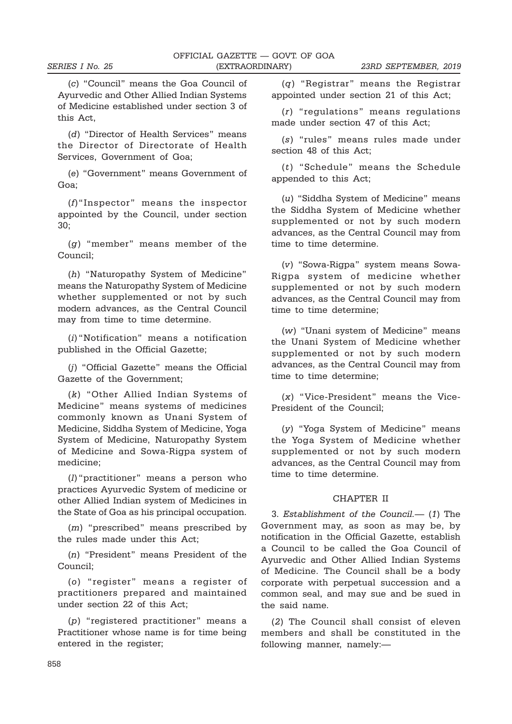(c) "Council" means the Goa Council of Ayurvedic and Other Allied Indian Systems of Medicine established under section 3 of this Act,

(d) "Director of Health Services" means the Director of Directorate of Health Services, Government of Goa;

(e) "Government" means Government of Goa;

(f)"Inspector" means the inspector appointed by the Council, under section 30;

(g) "member" means member of the Council;

(h) "Naturopathy System of Medicine" means the Naturopathy System of Medicine whether supplemented or not by such modern advances, as the Central Council may from time to time determine.

(i) "Notification" means a notification published in the Official Gazette;

(j) "Official Gazette" means the Official Gazette of the Government;

(k) "Other Allied Indian Systems of Medicine" means systems of medicines commonly known as Unani System of Medicine, Siddha System of Medicine, Yoga System of Medicine, Naturopathy System of Medicine and Sowa-Rigpa system of medicine;

(l) "practitioner" means a person who practices Ayurvedic System of medicine or other Allied Indian system of Medicines in the State of Goa as his principal occupation.

(m) "prescribed" means prescribed by the rules made under this Act;

(n) "President" means President of the Council;

(o) "register" means a register of practitioners prepared and maintained under section 22 of this Act;

(p) "registered practitioner" means a Practitioner whose name is for time being entered in the register;

(q) "Registrar" means the Registrar appointed under section 21 of this Act;

(r) "regulations" means regulations made under section 47 of this Act;

(s) "rules" means rules made under section 48 of this Act;

(t) "Schedule" means the Schedule appended to this Act;

(u) "Siddha System of Medicine" means the Siddha System of Medicine whether supplemented or not by such modern advances, as the Central Council may from time to time determine.

(v) "Sowa-Rigpa" system means Sowa-Rigpa system of medicine whether supplemented or not by such modern advances, as the Central Council may from time to time determine;

(w) "Unani system of Medicine" means the Unani System of Medicine whether supplemented or not by such modern advances, as the Central Council may from time to time determine;

(x) "Vice-President" means the Vice-President of the Council;

(y) "Yoga System of Medicine" means the Yoga System of Medicine whether supplemented or not by such modern advances, as the Central Council may from time to time determine.

#### CHAPTER II

3. Establishment of the Council.— (1) The Government may, as soon as may be, by notification in the Official Gazette, establish a Council to be called the Goa Council of Ayurvedic and Other Allied Indian Systems of Medicine. The Council shall be a body corporate with perpetual succession and a common seal, and may sue and be sued in the said name.

(2) The Council shall consist of eleven members and shall be constituted in the following manner, namely:—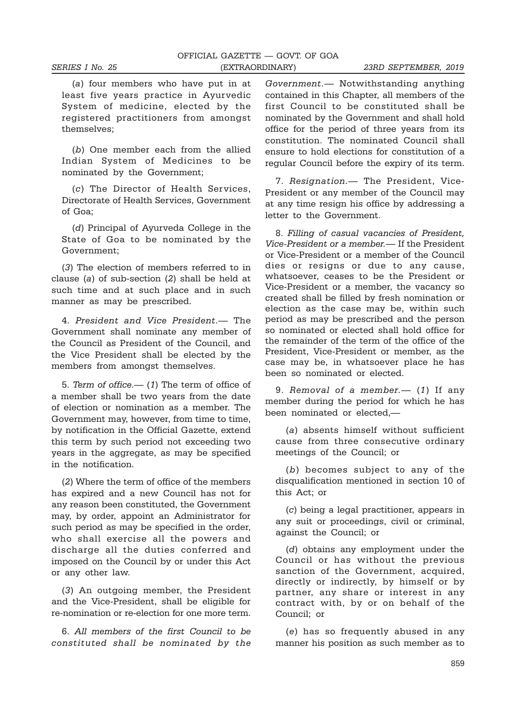(a) four members who have put in at least five years practice in Ayurvedic System of medicine, elected by the registered practitioners from amongst themselves;

(b) One member each from the allied Indian System of Medicines to be nominated by the Government;

(c) The Director of Health Services, Directorate of Health Services, Government of Goa;

(d) Principal of Ayurveda College in the State of Goa to be nominated by the Government;

(3) The election of members referred to in clause (a) of sub-section (2) shall be held at such time and at such place and in such manner as may be prescribed.

4. President and Vice President.— The Government shall nominate any member of the Council as President of the Council, and the Vice President shall be elected by the members from amongst themselves.

5. Term of office.— (1) The term of office of a member shall be two years from the date of election or nomination as a member. The Government may, however, from time to time, by notification in the Official Gazette, extend this term by such period not exceeding two years in the aggregate, as may be specified in the notification.

(2) Where the term of office of the members has expired and a new Council has not for any reason been constituted, the Government may, by order, appoint an Administrator for such period as may be specified in the order, who shall exercise all the powers and discharge all the duties conferred and imposed on the Council by or under this Act or any other law.

(3) An outgoing member, the President and the Vice-President, shall be eligible for re-nomination or re-election for one more term.

6. All members of the first Council to be constituted shall be nominated by the

Government.— Notwithstanding anything contained in this Chapter, all members of the first Council to be constituted shall be nominated by the Government and shall hold office for the period of three years from its constitution. The nominated Council shall ensure to hold elections for constitution of a regular Council before the expiry of its term.

7. Resignation.— The President, Vice-President or any member of the Council may at any time resign his office by addressing a letter to the Government.

8. Filling of casual vacancies of President, Vice-President or a member.— If the President or Vice-President or a member of the Council dies or resigns or due to any cause, whatsoever, ceases to be the President or Vice-President or a member, the vacancy so created shall be filled by fresh nomination or election as the case may be, within such period as may be prescribed and the person so nominated or elected shall hold office for the remainder of the term of the office of the President, Vice-President or member, as the case may be, in whatsoever place he has been so nominated or elected.

9. Removal of a member. - (1) If any member during the period for which he has been nominated or elected,—

(a) absents himself without sufficient cause from three consecutive ordinary meetings of the Council; or

(b) becomes subject to any of the disqualification mentioned in section 10 of this Act; or

(c) being a legal practitioner, appears in any suit or proceedings, civil or criminal, against the Council; or

(d) obtains any employment under the Council or has without the previous sanction of the Government, acquired, directly or indirectly, by himself or by partner, any share or interest in any contract with, by or on behalf of the Council; or

(e) has so frequently abused in any manner his position as such member as to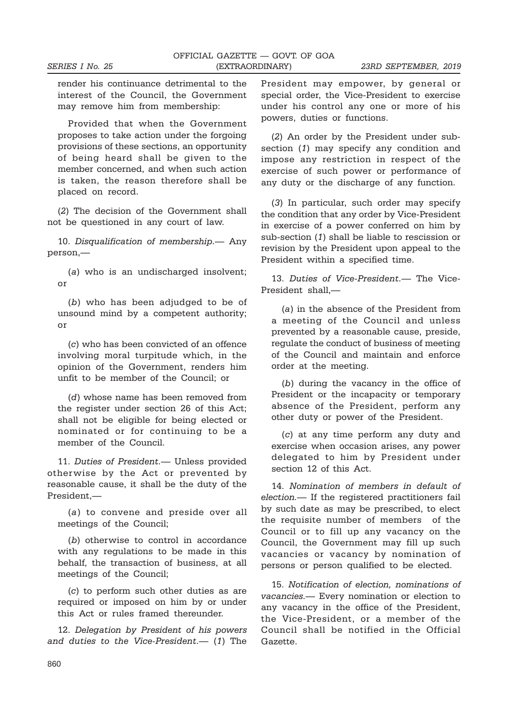render his continuance detrimental to the interest of the Council, the Government may remove him from membership:

Provided that when the Government proposes to take action under the forgoing provisions of these sections, an opportunity of being heard shall be given to the member concerned, and when such action is taken, the reason therefore shall be placed on record.

(2) The decision of the Government shall not be questioned in any court of law.

10. Disqualification of membership.— Any person,—

(a) who is an undischarged insolvent: or

(b) who has been adjudged to be of unsound mind by a competent authority; or

(c) who has been convicted of an offence involving moral turpitude which, in the opinion of the Government, renders him unfit to be member of the Council; or

(d) whose name has been removed from the register under section 26 of this Act; shall not be eligible for being elected or nominated or for continuing to be a member of the Council.

11. Duties of President.— Unless provided otherwise by the Act or prevented by reasonable cause, it shall be the duty of the President,—

(a) to convene and preside over all meetings of the Council;

(b) otherwise to control in accordance with any regulations to be made in this behalf, the transaction of business, at all meetings of the Council;

(c) to perform such other duties as are required or imposed on him by or under this Act or rules framed thereunder.

12. Delegation by President of his powers and duties to the Vice-President.— (1) The President may empower, by general or special order, the Vice-President to exercise under his control any one or more of his powers, duties or functions.

(2) An order by the President under subsection (1) may specify any condition and impose any restriction in respect of the exercise of such power or performance of any duty or the discharge of any function.

(3) In particular, such order may specify the condition that any order by Vice-President in exercise of a power conferred on him by sub-section (1) shall be liable to rescission or revision by the President upon appeal to the President within a specified time.

13. Duties of Vice-President.— The Vice-President shall,—

(a) in the absence of the President from a meeting of the Council and unless prevented by a reasonable cause, preside, regulate the conduct of business of meeting of the Council and maintain and enforce order at the meeting.

(b) during the vacancy in the office of President or the incapacity or temporary absence of the President, perform any other duty or power of the President.

(c) at any time perform any duty and exercise when occasion arises, any power delegated to him by President under section 12 of this Act.

14. Nomination of members in default of election.— If the registered practitioners fail by such date as may be prescribed, to elect the requisite number of members of the Council or to fill up any vacancy on the Council, the Government may fill up such vacancies or vacancy by nomination of persons or person qualified to be elected.

15. Notification of election, nominations of vacancies.— Every nomination or election to any vacancy in the office of the President, the Vice-President, or a member of the Council shall be notified in the Official Gazette.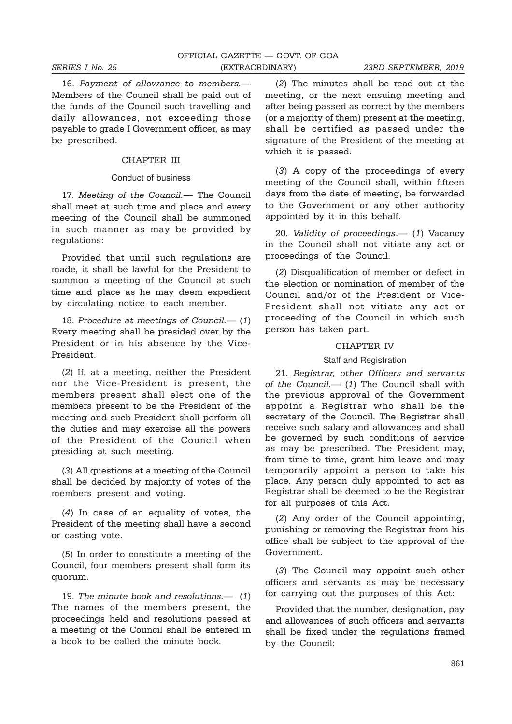16. Payment of allowance to members.— Members of the Council shall be paid out of the funds of the Council such travelling and daily allowances, not exceeding those payable to grade I Government officer, as may be prescribed.

#### CHAPTER III

#### Conduct of business

17. Meeting of the Council.— The Council shall meet at such time and place and every meeting of the Council shall be summoned in such manner as may be provided by regulations:

Provided that until such regulations are made, it shall be lawful for the President to summon a meeting of the Council at such time and place as he may deem expedient by circulating notice to each member.

18. Procedure at meetings of Council.— (1) Every meeting shall be presided over by the President or in his absence by the Vice-President.

(2) If, at a meeting, neither the President nor the Vice-President is present, the members present shall elect one of the members present to be the President of the meeting and such President shall perform all the duties and may exercise all the powers of the President of the Council when presiding at such meeting.

(3) All questions at a meeting of the Council shall be decided by majority of votes of the members present and voting.

(4) In case of an equality of votes, the President of the meeting shall have a second or casting vote.

(5) In order to constitute a meeting of the Council, four members present shall form its quorum.

19. The minute book and resolutions.— (1) The names of the members present, the proceedings held and resolutions passed at a meeting of the Council shall be entered in a book to be called the minute book.

(2) The minutes shall be read out at the meeting, or the next ensuing meeting and after being passed as correct by the members (or a majority of them) present at the meeting, shall be certified as passed under the signature of the President of the meeting at which it is passed.

(3) A copy of the proceedings of every meeting of the Council shall, within fifteen days from the date of meeting, be forwarded to the Government or any other authority appointed by it in this behalf.

20. Validity of proceedings.— (1) Vacancy in the Council shall not vitiate any act or proceedings of the Council.

(2) Disqualification of member or defect in the election or nomination of member of the Council and/or of the President or Vice-President shall not vitiate any act or proceeding of the Council in which such person has taken part.

#### CHAPTER IV

#### Staff and Registration

21. Registrar, other Officers and servants of the Council.— (1) The Council shall with the previous approval of the Government appoint a Registrar who shall be the secretary of the Council. The Registrar shall receive such salary and allowances and shall be governed by such conditions of service as may be prescribed. The President may, from time to time, grant him leave and may temporarily appoint a person to take his place. Any person duly appointed to act as Registrar shall be deemed to be the Registrar for all purposes of this Act.

(2) Any order of the Council appointing, punishing or removing the Registrar from his office shall be subject to the approval of the Government.

(3) The Council may appoint such other officers and servants as may be necessary for carrying out the purposes of this Act:

Provided that the number, designation, pay and allowances of such officers and servants shall be fixed under the regulations framed by the Council: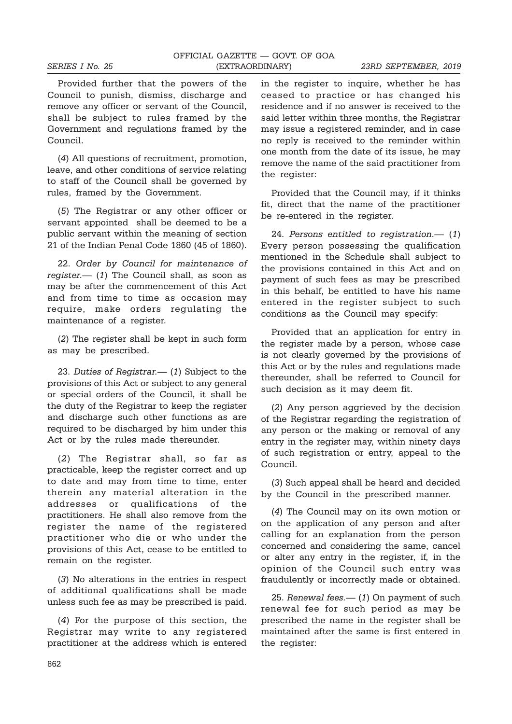Provided further that the powers of the Council to punish, dismiss, discharge and remove any officer or servant of the Council, shall be subject to rules framed by the Government and regulations framed by the Council.

(4) All questions of recruitment, promotion, leave, and other conditions of service relating to staff of the Council shall be governed by rules, framed by the Government.

(5) The Registrar or any other officer or servant appointed shall be deemed to be a public servant within the meaning of section 21 of the Indian Penal Code 1860 (45 of 1860).

22. Order by Council for maintenance of  $register.$  (1) The Council shall, as soon as may be after the commencement of this Act and from time to time as occasion may require, make orders regulating the maintenance of a register.

(2) The register shall be kept in such form as may be prescribed.

23. Duties of Registrar. - (1) Subject to the provisions of this Act or subject to any general or special orders of the Council, it shall be the duty of the Registrar to keep the register and discharge such other functions as are required to be discharged by him under this Act or by the rules made thereunder.

(2) The Registrar shall, so far as practicable, keep the register correct and up to date and may from time to time, enter therein any material alteration in the addresses or qualifications of the practitioners. He shall also remove from the register the name of the registered practitioner who die or who under the provisions of this Act, cease to be entitled to remain on the register.

(3) No alterations in the entries in respect of additional qualifications shall be made unless such fee as may be prescribed is paid.

(4) For the purpose of this section, the Registrar may write to any registered practitioner at the address which is entered in the register to inquire, whether he has ceased to practice or has changed his residence and if no answer is received to the said letter within three months, the Registrar may issue a registered reminder, and in case no reply is received to the reminder within one month from the date of its issue, he may remove the name of the said practitioner from the register:

Provided that the Council may, if it thinks fit, direct that the name of the practitioner be re-entered in the register.

24. Persons entitled to registration.— (1) Every person possessing the qualification mentioned in the Schedule shall subject to the provisions contained in this Act and on payment of such fees as may be prescribed in this behalf, be entitled to have his name entered in the register subject to such conditions as the Council may specify:

Provided that an application for entry in the register made by a person, whose case is not clearly governed by the provisions of this Act or by the rules and regulations made thereunder, shall be referred to Council for such decision as it may deem fit.

(2) Any person aggrieved by the decision of the Registrar regarding the registration of any person or the making or removal of any entry in the register may, within ninety days of such registration or entry, appeal to the Council.

(3) Such appeal shall be heard and decided by the Council in the prescribed manner.

(4) The Council may on its own motion or on the application of any person and after calling for an explanation from the person concerned and considering the same, cancel or alter any entry in the register, if, in the opinion of the Council such entry was fraudulently or incorrectly made or obtained.

25. Renewal fees.— (1) On payment of such renewal fee for such period as may be prescribed the name in the register shall be maintained after the same is first entered in the register: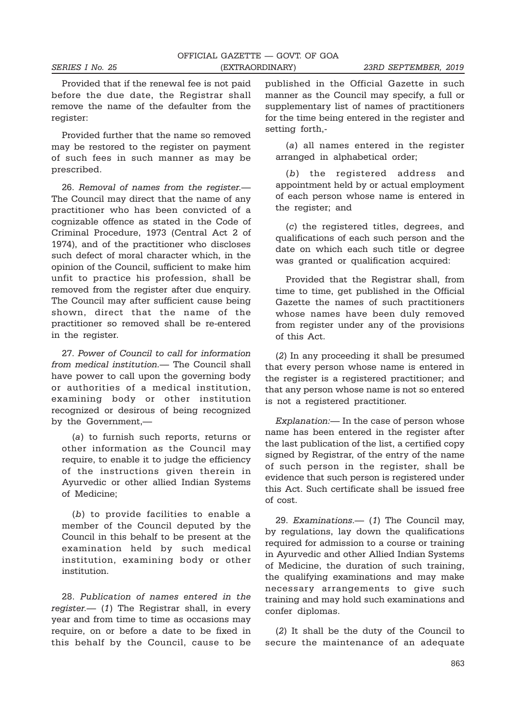Provided that if the renewal fee is not paid before the due date, the Registrar shall remove the name of the defaulter from the register:

Provided further that the name so removed may be restored to the register on payment of such fees in such manner as may be prescribed.

26. Removal of names from the register.— The Council may direct that the name of any practitioner who has been convicted of a cognizable offence as stated in the Code of Criminal Procedure, 1973 (Central Act 2 of 1974), and of the practitioner who discloses such defect of moral character which, in the opinion of the Council, sufficient to make him unfit to practice his profession, shall be removed from the register after due enquiry. The Council may after sufficient cause being shown, direct that the name of the practitioner so removed shall be re-entered in the register.

27. Power of Council to call for information from medical institution.— The Council shall have power to call upon the governing body or authorities of a medical institution, examining body or other institution recognized or desirous of being recognized by the Government,—

(a) to furnish such reports, returns or other information as the Council may require, to enable it to judge the efficiency of the instructions given therein in Ayurvedic or other allied Indian Systems of Medicine;

(b) to provide facilities to enable a member of the Council deputed by the Council in this behalf to be present at the examination held by such medical institution, examining body or other institution.

28. Publication of names entered in the register.— (1) The Registrar shall, in every year and from time to time as occasions may require, on or before a date to be fixed in this behalf by the Council, cause to be

published in the Official Gazette in such manner as the Council may specify, a full or supplementary list of names of practitioners for the time being entered in the register and setting forth,-

(a) all names entered in the register arranged in alphabetical order;

(b) the registered address and appointment held by or actual employment of each person whose name is entered in the register; and

(c) the registered titles, degrees, and qualifications of each such person and the date on which each such title or degree was granted or qualification acquired:

Provided that the Registrar shall, from time to time, get published in the Official Gazette the names of such practitioners whose names have been duly removed from register under any of the provisions of this Act.

(2) In any proceeding it shall be presumed that every person whose name is entered in the register is a registered practitioner; and that any person whose name is not so entered is not a registered practitioner.

Explanation:— In the case of person whose name has been entered in the register after the last publication of the list, a certified copy signed by Registrar, of the entry of the name of such person in the register, shall be evidence that such person is registered under this Act. Such certificate shall be issued free of cost.

29. Examinations.— (1) The Council may, by regulations, lay down the qualifications required for admission to a course or training in Ayurvedic and other Allied Indian Systems of Medicine, the duration of such training, the qualifying examinations and may make necessary arrangements to give such training and may hold such examinations and confer diplomas.

(2) It shall be the duty of the Council to secure the maintenance of an adequate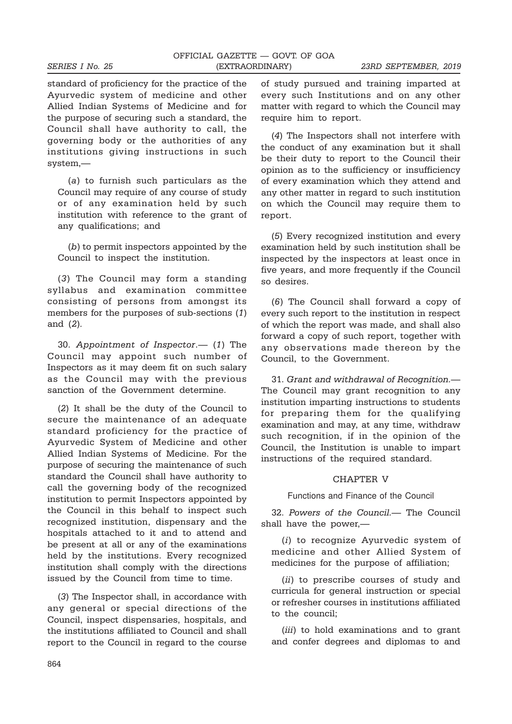standard of proficiency for the practice of the Ayurvedic system of medicine and other Allied Indian Systems of Medicine and for the purpose of securing such a standard, the Council shall have authority to call, the governing body or the authorities of any institutions giving instructions in such system,—

(a) to furnish such particulars as the Council may require of any course of study or of any examination held by such institution with reference to the grant of any qualifications; and

(b) to permit inspectors appointed by the Council to inspect the institution.

(3) The Council may form a standing syllabus and examination committee consisting of persons from amongst its members for the purposes of sub-sections (1) and (2).

30. Appointment of Inspector.— (1) The Council may appoint such number of Inspectors as it may deem fit on such salary as the Council may with the previous sanction of the Government determine.

(2) It shall be the duty of the Council to secure the maintenance of an adequate standard proficiency for the practice of Ayurvedic System of Medicine and other Allied Indian Systems of Medicine. For the purpose of securing the maintenance of such standard the Council shall have authority to call the governing body of the recognized institution to permit Inspectors appointed by the Council in this behalf to inspect such recognized institution, dispensary and the hospitals attached to it and to attend and be present at all or any of the examinations held by the institutions. Every recognized institution shall comply with the directions issued by the Council from time to time.

(3) The Inspector shall, in accordance with any general or special directions of the Council, inspect dispensaries, hospitals, and the institutions affiliated to Council and shall report to the Council in regard to the course of study pursued and training imparted at every such Institutions and on any other matter with regard to which the Council may require him to report.

(4) The Inspectors shall not interfere with the conduct of any examination but it shall be their duty to report to the Council their opinion as to the sufficiency or insufficiency of every examination which they attend and any other matter in regard to such institution on which the Council may require them to report.

(5) Every recognized institution and every examination held by such institution shall be inspected by the inspectors at least once in five years, and more frequently if the Council so desires.

(6) The Council shall forward a copy of every such report to the institution in respect of which the report was made, and shall also forward a copy of such report, together with any observations made thereon by the Council, to the Government.

31. Grant and withdrawal of Recognition.— The Council may grant recognition to any institution imparting instructions to students for preparing them for the qualifying examination and may, at any time, withdraw such recognition, if in the opinion of the Council, the Institution is unable to impart instructions of the required standard.

#### CHAPTER V

Functions and Finance of the Council

32. Powers of the Council.— The Council shall have the power,—

(i) to recognize Ayurvedic system of medicine and other Allied System of medicines for the purpose of affiliation;

(ii) to prescribe courses of study and curricula for general instruction or special or refresher courses in institutions affiliated to the council;

(*iii*) to hold examinations and to grant and confer degrees and diplomas to and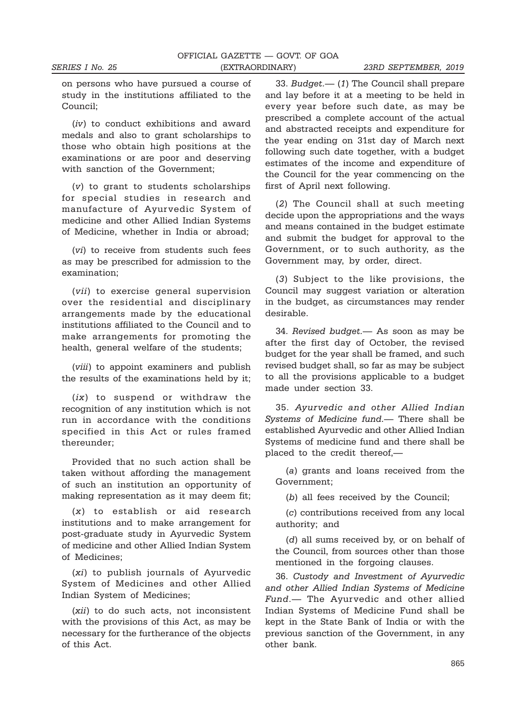on persons who have pursued a course of study in the institutions affiliated to the Council;

(iv) to conduct exhibitions and award medals and also to grant scholarships to those who obtain high positions at the examinations or are poor and deserving with sanction of the Government;

(v) to grant to students scholarships for special studies in research and manufacture of Ayurvedic System of medicine and other Allied Indian Systems of Medicine, whether in India or abroad;

(vi) to receive from students such fees as may be prescribed for admission to the examination;

(vii) to exercise general supervision over the residential and disciplinary arrangements made by the educational institutions affiliated to the Council and to make arrangements for promoting the health, general welfare of the students;

(viii) to appoint examiners and publish the results of the examinations held by it;

(ix) to suspend or withdraw the recognition of any institution which is not run in accordance with the conditions specified in this Act or rules framed thereunder;

Provided that no such action shall be taken without affording the management of such an institution an opportunity of making representation as it may deem fit;

(x) to establish or aid research institutions and to make arrangement for post-graduate study in Ayurvedic System of medicine and other Allied Indian System of Medicines;

(xi) to publish journals of Ayurvedic System of Medicines and other Allied Indian System of Medicines;

(xii) to do such acts, not inconsistent with the provisions of this Act, as may be necessary for the furtherance of the objects of this Act.

33. Budget.— (1) The Council shall prepare and lay before it at a meeting to be held in every year before such date, as may be prescribed a complete account of the actual and abstracted receipts and expenditure for the year ending on 31st day of March next following such date together, with a budget estimates of the income and expenditure of the Council for the year commencing on the first of April next following.

(2) The Council shall at such meeting decide upon the appropriations and the ways and means contained in the budget estimate and submit the budget for approval to the Government, or to such authority, as the Government may, by order, direct.

(3) Subject to the like provisions, the Council may suggest variation or alteration in the budget, as circumstances may render desirable.

34. Revised budget.— As soon as may be after the first day of October, the revised budget for the year shall be framed, and such revised budget shall, so far as may be subject to all the provisions applicable to a budget made under section 33.

35. Ayurvedic and other Allied Indian Systems of Medicine fund.— There shall be established Ayurvedic and other Allied Indian Systems of medicine fund and there shall be placed to the credit thereof,—

(a) grants and loans received from the Government;

(b) all fees received by the Council;

(c) contributions received from any local authority; and

(d) all sums received by, or on behalf of the Council, from sources other than those mentioned in the forgoing clauses.

36. Custody and Investment of Ayurvedic and other Allied Indian Systems of Medicine Fund.— The Ayurvedic and other allied Indian Systems of Medicine Fund shall be kept in the State Bank of India or with the previous sanction of the Government, in any other bank.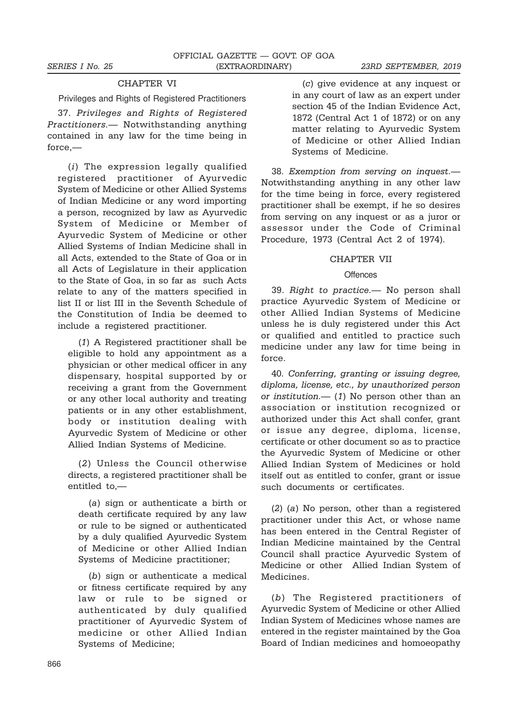# CHAPTER VI

Privileges and Rights of Registered Practitioners

37. Privileges and Rights of Registered Practitioners.— Notwithstanding anything contained in any law for the time being in force,—

(i) The expression legally qualified registered practitioner of Ayurvedic System of Medicine or other Allied Systems of Indian Medicine or any word importing a person, recognized by law as Ayurvedic System of Medicine or Member of Ayurvedic System of Medicine or other Allied Systems of Indian Medicine shall in all Acts, extended to the State of Goa or in all Acts of Legislature in their application to the State of Goa, in so far as such Acts relate to any of the matters specified in list II or list III in the Seventh Schedule of the Constitution of India be deemed to include a registered practitioner.

(1) A Registered practitioner shall be eligible to hold any appointment as a physician or other medical officer in any dispensary, hospital supported by or receiving a grant from the Government or any other local authority and treating patients or in any other establishment, body or institution dealing with Ayurvedic System of Medicine or other Allied Indian Systems of Medicine.

(2) Unless the Council otherwise directs, a registered practitioner shall be entitled to,—

(a) sign or authenticate a birth or death certificate required by any law or rule to be signed or authenticated by a duly qualified Ayurvedic System of Medicine or other Allied Indian Systems of Medicine practitioner;

(b) sign or authenticate a medical or fitness certificate required by any law or rule to be signed or authenticated by duly qualified practitioner of Ayurvedic System of medicine or other Allied Indian Systems of Medicine;

(c) give evidence at any inquest or in any court of law as an expert under section 45 of the Indian Evidence Act, 1872 (Central Act 1 of 1872) or on any matter relating to Ayurvedic System of Medicine or other Allied Indian Systems of Medicine.

38. Exemption from serving on inquest.— Notwithstanding anything in any other law for the time being in force, every registered practitioner shall be exempt, if he so desires from serving on any inquest or as a juror or assessor under the Code of Criminal Procedure, 1973 (Central Act 2 of 1974).

#### CHAPTER VII

#### **Offences**

39. Right to practice.— No person shall practice Ayurvedic System of Medicine or other Allied Indian Systems of Medicine unless he is duly registered under this Act or qualified and entitled to practice such medicine under any law for time being in force.

40. Conferring, granting or issuing degree, diploma, license, etc., by unauthorized person or institution.—  $(1)$  No person other than an association or institution recognized or authorized under this Act shall confer, grant or issue any degree, diploma, license, certificate or other document so as to practice the Ayurvedic System of Medicine or other Allied Indian System of Medicines or hold itself out as entitled to confer, grant or issue such documents or certificates.

(2) (a) No person, other than a registered practitioner under this Act, or whose name has been entered in the Central Register of Indian Medicine maintained by the Central Council shall practice Ayurvedic System of Medicine or other Allied Indian System of Medicines.

(b) The Registered practitioners of Ayurvedic System of Medicine or other Allied Indian System of Medicines whose names are entered in the register maintained by the Goa Board of Indian medicines and homoeopathy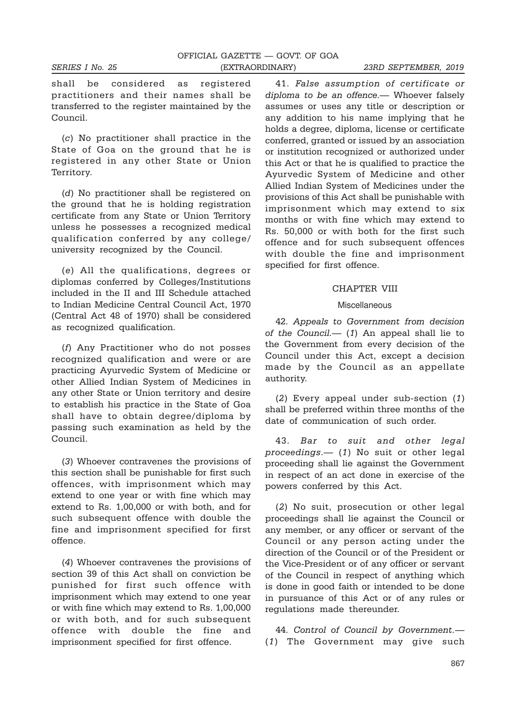shall be considered as registered practitioners and their names shall be transferred to the register maintained by the Council.

(c) No practitioner shall practice in the State of Goa on the ground that he is registered in any other State or Union Territory.

(d) No practitioner shall be registered on the ground that he is holding registration certificate from any State or Union Territory unless he possesses a recognized medical qualification conferred by any college/ university recognized by the Council.

(e) All the qualifications, degrees or diplomas conferred by Colleges/Institutions included in the II and III Schedule attached to Indian Medicine Central Council Act, 1970 (Central Act 48 of 1970) shall be considered as recognized qualification.

(f) Any Practitioner who do not posses recognized qualification and were or are practicing Ayurvedic System of Medicine or other Allied Indian System of Medicines in any other State or Union territory and desire to establish his practice in the State of Goa shall have to obtain degree/diploma by passing such examination as held by the Council.

(3) Whoever contravenes the provisions of this section shall be punishable for first such offences, with imprisonment which may extend to one year or with fine which may extend to Rs. 1,00,000 or with both, and for such subsequent offence with double the fine and imprisonment specified for first offence.

(4) Whoever contravenes the provisions of section 39 of this Act shall on conviction be punished for first such offence with imprisonment which may extend to one year or with fine which may extend to Rs. 1,00,000 or with both, and for such subsequent offence with double the fine and imprisonment specified for first offence.

41. False assumption of certificate or diploma to be an offence.— Whoever falsely assumes or uses any title or description or any addition to his name implying that he holds a degree, diploma, license or certificate conferred, granted or issued by an association or institution recognized or authorized under this Act or that he is qualified to practice the Ayurvedic System of Medicine and other Allied Indian System of Medicines under the provisions of this Act shall be punishable with imprisonment which may extend to six months or with fine which may extend to Rs. 50,000 or with both for the first such offence and for such subsequent offences with double the fine and imprisonment specified for first offence.

#### CHAPTER VIII

#### Miscellaneous

42. Appeals to Government from decision of the Council.—  $(1)$  An appeal shall lie to the Government from every decision of the Council under this Act, except a decision made by the Council as an appellate authority.

(2) Every appeal under sub-section (1) shall be preferred within three months of the date of communication of such order.

43. Bar to suit and other legal proceedings.— (1) No suit or other legal proceeding shall lie against the Government in respect of an act done in exercise of the powers conferred by this Act.

(2) No suit, prosecution or other legal proceedings shall lie against the Council or any member, or any officer or servant of the Council or any person acting under the direction of the Council or of the President or the Vice-President or of any officer or servant of the Council in respect of anything which is done in good faith or intended to be done in pursuance of this Act or of any rules or regulations made thereunder.

44. Control of Council by Government.— (1) The Government may give such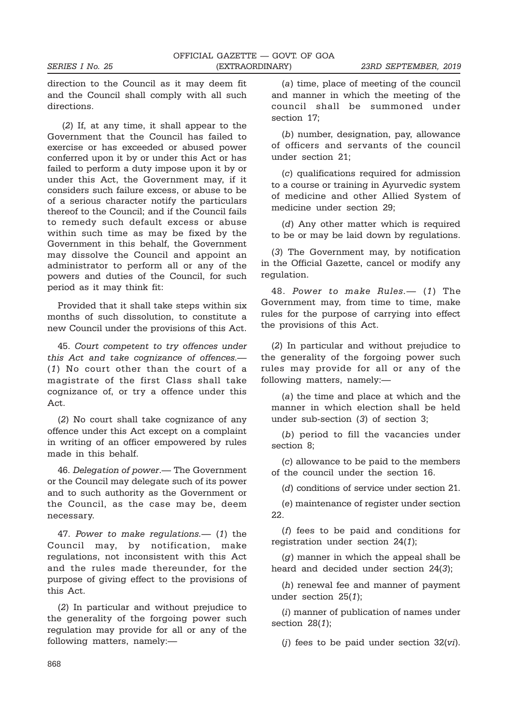direction to the Council as it may deem fit and the Council shall comply with all such directions.

(2) If, at any time, it shall appear to the Government that the Council has failed to exercise or has exceeded or abused power conferred upon it by or under this Act or has failed to perform a duty impose upon it by or under this Act, the Government may, if it considers such failure excess, or abuse to be of a serious character notify the particulars thereof to the Council; and if the Council fails to remedy such default excess or abuse within such time as may be fixed by the Government in this behalf, the Government may dissolve the Council and appoint an administrator to perform all or any of the powers and duties of the Council, for such period as it may think fit:

Provided that it shall take steps within six months of such dissolution, to constitute a new Council under the provisions of this Act.

45. Court competent to try offences under this Act and take cognizance of offences.— (1) No court other than the court of a magistrate of the first Class shall take cognizance of, or try a offence under this Act.

(2) No court shall take cognizance of any offence under this Act except on a complaint in writing of an officer empowered by rules made in this behalf.

46. Delegation of power.— The Government or the Council may delegate such of its power and to such authority as the Government or the Council, as the case may be, deem necessary.

47. Power to make regulations.— (1) the Council may, by notification, make regulations, not inconsistent with this Act and the rules made thereunder, for the purpose of giving effect to the provisions of this Act.

(2) In particular and without prejudice to the generality of the forgoing power such regulation may provide for all or any of the following matters, namely:—

(a) time, place of meeting of the council and manner in which the meeting of the council shall be summoned under section 17;

(b) number, designation, pay, allowance of officers and servants of the council under section 21;

(c) qualifications required for admission to a course or training in Ayurvedic system of medicine and other Allied System of medicine under section 29;

(d) Any other matter which is required to be or may be laid down by regulations.

(3) The Government may, by notification in the Official Gazette, cancel or modify any regulation.

48. Power to make Rules.— (1) The Government may, from time to time, make rules for the purpose of carrying into effect the provisions of this Act.

(2) In particular and without prejudice to the generality of the forgoing power such rules may provide for all or any of the following matters, namely:—

(a) the time and place at which and the manner in which election shall be held under sub-section (3) of section 3;

(b) period to fill the vacancies under section 8;

(c) allowance to be paid to the members of the council under the section 16.

(d) conditions of service under section 21.

(e) maintenance of register under section 22.

(f) fees to be paid and conditions for registration under section 24(1);

(g) manner in which the appeal shall be heard and decided under section 24(3);

(h) renewal fee and manner of payment under section 25(1);

(i) manner of publication of names under section 28(1);

 $(i)$  fees to be paid under section  $32(vi)$ .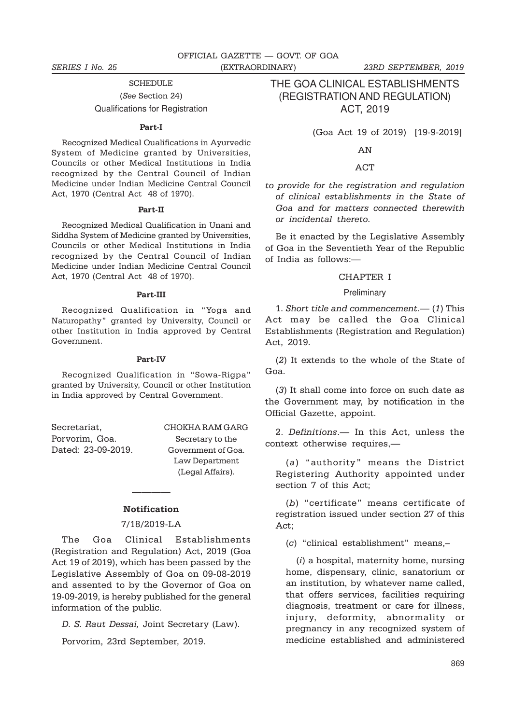**SCHEDULE** (See Section 24) Qualifications for Registration

#### Part-I

Recognized Medical Qualifications in Ayurvedic System of Medicine granted by Universities, Councils or other Medical Institutions in India recognized by the Central Council of Indian Medicine under Indian Medicine Central Council Act, 1970 (Central Act 48 of 1970).

### Part-II

Recognized Medical Qualification in Unani and Siddha System of Medicine granted by Universities, Councils or other Medical Institutions in India recognized by the Central Council of Indian Medicine under Indian Medicine Central Council Act, 1970 (Central Act 48 of 1970).

#### Part-III

Recognized Qualification in "Yoga and Naturopathy" granted by University, Council or other Institution in India approved by Central Government.

#### Part-IV

Recognized Qualification in "Sowa-Rigpa" granted by University, Council or other Institution in India approved by Central Government.

Porvorim, Goa. Secretary to the

Secretariat, CHOKHA RAM GARG Dated: 23-09-2019. Government of Goa. Law Department (Legal Affairs).

# ———— **Notification**

#### 7/18/2019-LA

The Goa Clinical Establishments (Registration and Regulation) Act, 2019 (Goa Act 19 of 2019), which has been passed by the Legislative Assembly of Goa on 09-08-2019 and assented to by the Governor of Goa on 19-09-2019, is hereby published for the general information of the public.

D. S. Raut Dessai, Joint Secretary (Law).

Porvorim, 23rd September, 2019.

THE GOA CLINICAL ESTABLISHMENTS (REGISTRATION AND REGULATION) ACT, 2019

(Goa Act 19 of 2019) [19-9-2019]

AN

#### ACT

to provide for the registration and regulation of clinical establishments in the State of Goa and for matters connected therewith or incidental thereto.

Be it enacted by the Legislative Assembly of Goa in the Seventieth Year of the Republic of India as follows:—

### CHAPTER I

#### Preliminary

1. Short title and commencement.— (1) This Act may be called the Goa Clinical Establishments (Registration and Regulation) Act, 2019.

(2) It extends to the whole of the State of Goa.

(3) It shall come into force on such date as the Government may, by notification in the Official Gazette, appoint.

2. Definitions.— In this Act, unless the context otherwise requires,—

(a) "authority" means the District Registering Authority appointed under section 7 of this Act;

(b) "certificate" means certificate of registration issued under section 27 of this Act;

(c) "clinical establishment" means,–

(i) a hospital, maternity home, nursing home, dispensary, clinic, sanatorium or an institution, by whatever name called, that offers services, facilities requiring diagnosis, treatment or care for illness, injury, deformity, abnormality or pregnancy in any recognized system of medicine established and administered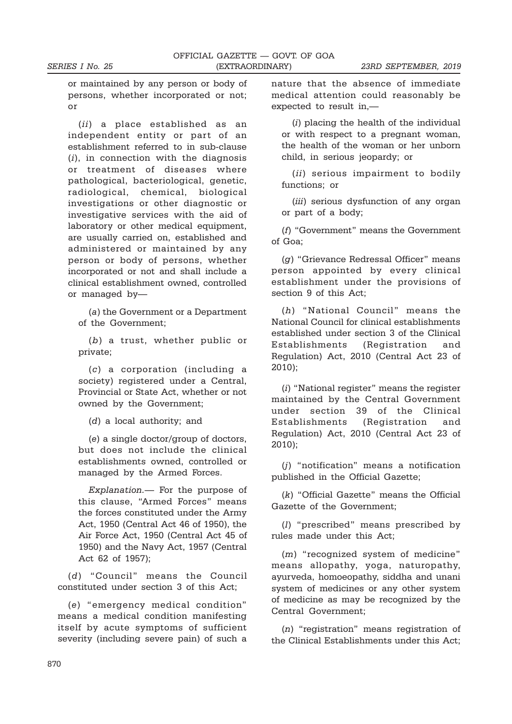or maintained by any person or body of persons, whether incorporated or not; or

(ii) a place established as an independent entity or part of an establishment referred to in sub-clause  $(i)$ , in connection with the diagnosis or treatment of diseases where pathological, bacteriological, genetic, radiological, chemical, biological investigations or other diagnostic or investigative services with the aid of laboratory or other medical equipment, are usually carried on, established and administered or maintained by any person or body of persons, whether incorporated or not and shall include a clinical establishment owned, controlled or managed by—

(a) the Government or a Department of the Government;

(b) a trust, whether public or private;

(c) a corporation (including a society) registered under a Central, Provincial or State Act, whether or not owned by the Government;

(d) a local authority; and

(e) a single doctor/group of doctors, but does not include the clinical establishments owned, controlled or managed by the Armed Forces.

Explanation.— For the purpose of this clause, "Armed Forces" means the forces constituted under the Army Act, 1950 (Central Act 46 of 1950), the Air Force Act, 1950 (Central Act 45 of 1950) and the Navy Act, 1957 (Central Act 62 of 1957);

(d) "Council" means the Council constituted under section 3 of this Act;

(e) "emergency medical condition" means a medical condition manifesting itself by acute symptoms of sufficient severity (including severe pain) of such a nature that the absence of immediate medical attention could reasonably be expected to result in,—

(i) placing the health of the individual or with respect to a pregnant woman, the health of the woman or her unborn child, in serious jeopardy; or

(ii) serious impairment to bodily functions; or

(*iii*) serious dysfunction of any organ or part of a body;

(f) "Government" means the Government of Goa;

(g) "Grievance Redressal Officer" means person appointed by every clinical establishment under the provisions of section 9 of this Act;

(h) "National Council" means the National Council for clinical establishments established under section 3 of the Clinical Establishments (Registration and Regulation) Act, 2010 (Central Act 23 of 2010);

(i) "National register" means the register maintained by the Central Government under section 39 of the Clinical Establishments (Registration and Regulation) Act, 2010 (Central Act 23 of 2010);

(j) "notification" means a notification published in the Official Gazette;

(k) "Official Gazette" means the Official Gazette of the Government;

(l) "prescribed" means prescribed by rules made under this Act;

(m) "recognized system of medicine" means allopathy, yoga, naturopathy, ayurveda, homoeopathy, siddha and unani system of medicines or any other system of medicine as may be recognized by the Central Government;

(n) "registration" means registration of the Clinical Establishments under this Act;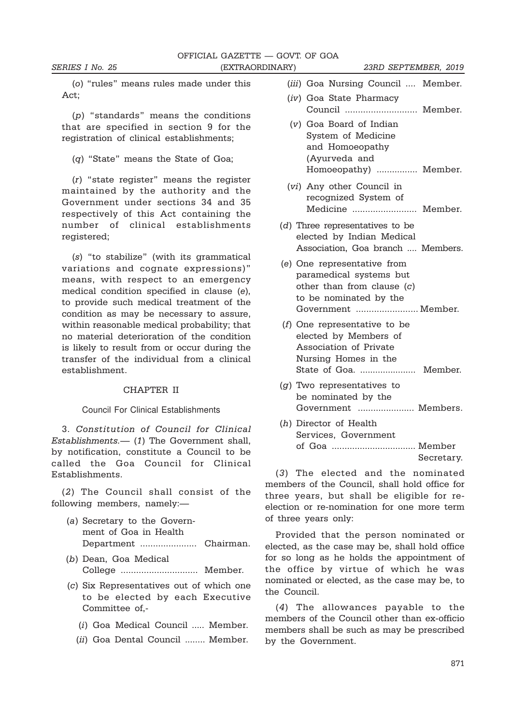(o) "rules" means rules made under this Act;

(p) "standards" means the conditions that are specified in section 9 for the registration of clinical establishments;

(q) "State" means the State of Goa;

(r) "state register" means the register maintained by the authority and the Government under sections 34 and 35 respectively of this Act containing the number of clinical establishments registered:

(s) "to stabilize" (with its grammatical variations and cognate expressions)" means, with respect to an emergency medical condition specified in clause (e), to provide such medical treatment of the condition as may be necessary to assure, within reasonable medical probability; that no material deterioration of the condition is likely to result from or occur during the transfer of the individual from a clinical establishment.

#### CHAPTER II

#### Council For Clinical Establishments

3. Constitution of Council for Clinical Establishments.— (1) The Government shall, by notification, constitute a Council to be called the Goa Council for Clinical Establishments.

(2) The Council shall consist of the following members, namely:—

- (a) Secretary to the Government of Goa in Health Department ...................... Chairman.
- (b) Dean, Goa Medical College .............................. Member.
- (c) Six Representatives out of which one to be elected by each Executive Committee of,-
	- (i) Goa Medical Council ..... Member.
	- (ii) Goa Dental Council ........ Member.

(iii) Goa Nursing Council .... Member.

- (iv) Goa State Pharmacy Council ............................ Member.
- (v) Goa Board of Indian System of Medicine and Homoeopathy (Ayurveda and Homoeopathy) ................ Member.
- (vi) Any other Council in recognized System of Medicine ......................... Member.
- (d) Three representatives to be elected by Indian Medical Association, Goa branch .... Members.
- (e) One representative from paramedical systems but other than from clause (c) to be nominated by the Government ........................ Member.
- (f) One representative to be elected by Members of Association of Private Nursing Homes in the State of Goa. ...................... Member.
- $(g)$  Two representatives to be nominated by the Government ...................... Members.
- (h) Director of Health Services, Government of Goa ................................. Member Secretary.

(3) The elected and the nominated members of the Council, shall hold office for three years, but shall be eligible for reelection or re-nomination for one more term of three years only:

Provided that the person nominated or elected, as the case may be, shall hold office for so long as he holds the appointment of the office by virtue of which he was nominated or elected, as the case may be, to the Council.

(4) The allowances payable to the members of the Council other than ex-officio members shall be such as may be prescribed by the Government.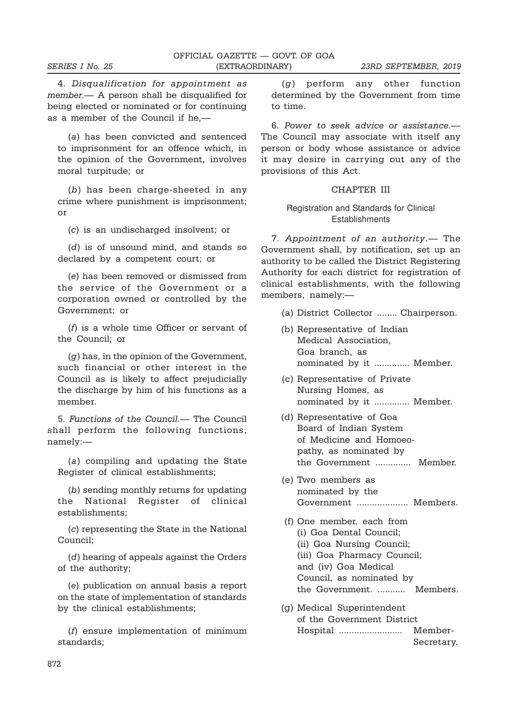4. Disqualification for appointment as member.— A person shall be disqualified for being elected or nominated or for continuing as a member of the Council if he,—

(a) has been convicted and sentenced to imprisonment for an offence which, in the opinion of the Government, involves moral turpitude; or

(b) has been charge-sheeted in any crime where punishment is imprisonment; or

(c) is an undischarged insolvent; or

(d) is of unsound mind, and stands so declared by a competent court; or

(e) has been removed or dismissed from the service of the Government or a corporation owned or controlled by the Government; or

(f) is a whole time Officer or servant of the Council; or

 $(q)$  has, in the opinion of the Government. such financial or other interest in the Council as is likely to affect prejudicially the discharge by him of his functions as a member.

5. Functions of the Council.— The Council shall perform the following functions, namely:—

(a) compiling and updating the State Register of clinical establishments;

(b) sending monthly returns for updating the National Register of clinical establishments;

(c) representing the State in the National Council;

(d) hearing of appeals against the Orders of the authority;

(e) publication on annual basis a report on the state of implementation of standards by the clinical establishments;

(f) ensure implementation of minimum standards;

(g) perform any other function determined by the Government from time to time.

6. Power to seek advice or assistance.— The Council may associate with itself any person or body whose assistance or advice it may desire in carrying out any of the provisions of this Act.

#### CHAPTER III

#### Registration and Standards for Clinical Establishments

7. Appointment of an authority.— The Government shall, by notification, set up an authority to be called the District Registering Authority for each district for registration of clinical establishments, with the following members, namely:—

- (a) District Collector ........ Chairperson.
- (b) Representative of Indian Medical Association, Goa branch, as nominated by it .............. Member.
- (c) Representative of Private Nursing Homes, as nominated by it .............. Member.
- (d) Representative of Goa Board of Indian System of Medicine and Homoeopathy, as nominated by the Government .............. Member.
- (e) Two members as nominated by the Government .................... Members.
- (f) One member, each from (i) Goa Dental Council; (ii) Goa Nursing Council; (iii) Goa Pharmacy Council; and (iv) Goa Medical Council, as nominated by the Government. ........... Members.
- (g) Medical Superintendent of the Government District Hospital ......................... Member-Secretary.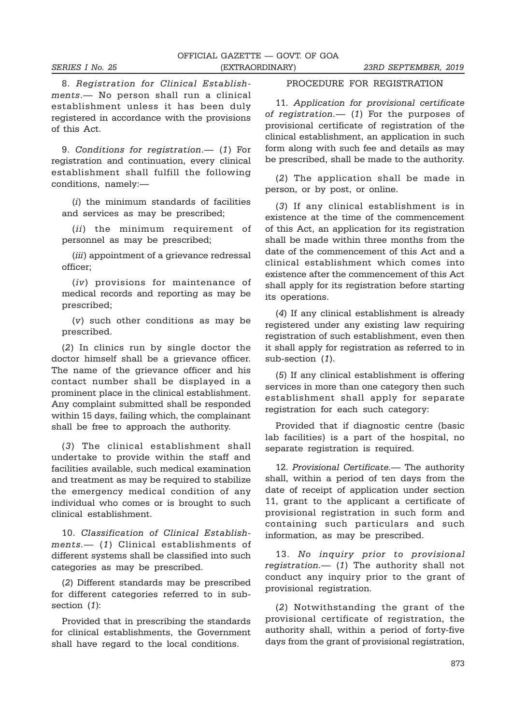8. Registration for Clinical Establishments.— No person shall run a clinical establishment unless it has been duly registered in accordance with the provisions of this Act.

9. Conditions for registration.— (1) For registration and continuation, every clinical establishment shall fulfill the following conditions, namely:—

(i) the minimum standards of facilities and services as may be prescribed;

(ii) the minimum requirement of personnel as may be prescribed;

(*iii*) appointment of a grievance redressal officer;

(iv) provisions for maintenance of medical records and reporting as may be prescribed;

(v) such other conditions as may be prescribed.

(2) In clinics run by single doctor the doctor himself shall be a grievance officer. The name of the grievance officer and his contact number shall be displayed in a prominent place in the clinical establishment. Any complaint submitted shall be responded within 15 days, failing which, the complainant shall be free to approach the authority.

(3) The clinical establishment shall undertake to provide within the staff and facilities available, such medical examination and treatment as may be required to stabilize the emergency medical condition of any individual who comes or is brought to such clinical establishment.

10. Classification of Clinical Establishments.— (1) Clinical establishments of different systems shall be classified into such categories as may be prescribed.

(2) Different standards may be prescribed for different categories referred to in subsection (1):

Provided that in prescribing the standards for clinical establishments, the Government shall have regard to the local conditions.

### PROCEDURE FOR REGISTRATION

11. Application for provisional certificate of registration.— (1) For the purposes of provisional certificate of registration of the clinical establishment, an application in such form along with such fee and details as may be prescribed, shall be made to the authority.

(2) The application shall be made in person, or by post, or online.

(3) If any clinical establishment is in existence at the time of the commencement of this Act, an application for its registration shall be made within three months from the date of the commencement of this Act and a clinical establishment which comes into existence after the commencement of this Act shall apply for its registration before starting its operations.

(4) If any clinical establishment is already registered under any existing law requiring registration of such establishment, even then it shall apply for registration as referred to in sub-section (1).

(5) If any clinical establishment is offering services in more than one category then such establishment shall apply for separate registration for each such category:

Provided that if diagnostic centre (basic lab facilities) is a part of the hospital, no separate registration is required.

12. Provisional Certificate. The authority shall, within a period of ten days from the date of receipt of application under section 11, grant to the applicant a certificate of provisional registration in such form and containing such particulars and such information, as may be prescribed.

13. No inquiry prior to provisional registration.— (1) The authority shall not conduct any inquiry prior to the grant of provisional registration.

(2) Notwithstanding the grant of the provisional certificate of registration, the authority shall, within a period of forty-five days from the grant of provisional registration,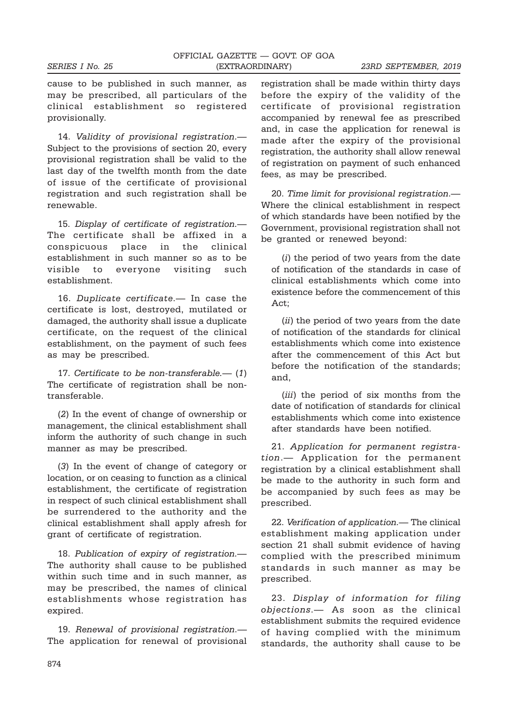cause to be published in such manner, as may be prescribed, all particulars of the clinical establishment so registered provisionally.

14. Validity of provisional registration.— Subject to the provisions of section 20, every provisional registration shall be valid to the last day of the twelfth month from the date of issue of the certificate of provisional registration and such registration shall be renewable.

15. Display of certificate of registration.— The certificate shall be affixed in a conspicuous place in the clinical establishment in such manner so as to be visible to everyone visiting such establishment.

16. Duplicate certificate.— In case the certificate is lost, destroyed, mutilated or damaged, the authority shall issue a duplicate certificate, on the request of the clinical establishment, on the payment of such fees as may be prescribed.

17. Certificate to be non-transferable.— (1) The certificate of registration shall be nontransferable.

(2) In the event of change of ownership or management, the clinical establishment shall inform the authority of such change in such manner as may be prescribed.

(3) In the event of change of category or location, or on ceasing to function as a clinical establishment, the certificate of registration in respect of such clinical establishment shall be surrendered to the authority and the clinical establishment shall apply afresh for grant of certificate of registration.

18. Publication of expiry of registration.— The authority shall cause to be published within such time and in such manner, as may be prescribed, the names of clinical establishments whose registration has expired.

19. Renewal of provisional registration.— The application for renewal of provisional registration shall be made within thirty days before the expiry of the validity of the certificate of provisional registration accompanied by renewal fee as prescribed and, in case the application for renewal is made after the expiry of the provisional registration, the authority shall allow renewal of registration on payment of such enhanced fees, as may be prescribed.

20. Time limit for provisional registration.— Where the clinical establishment in respect of which standards have been notified by the Government, provisional registration shall not be granted or renewed beyond:

(i) the period of two years from the date of notification of the standards in case of clinical establishments which come into existence before the commencement of this Act;

(*ii*) the period of two vears from the date of notification of the standards for clinical establishments which come into existence after the commencement of this Act but before the notification of the standards; and,

(*iii*) the period of six months from the date of notification of standards for clinical establishments which come into existence after standards have been notified.

21. Application for permanent registration.— Application for the permanent registration by a clinical establishment shall be made to the authority in such form and be accompanied by such fees as may be prescribed.

22. Verification of application.— The clinical establishment making application under section 21 shall submit evidence of having complied with the prescribed minimum standards in such manner as may be prescribed.

23. Display of information for filing objections.— As soon as the clinical establishment submits the required evidence of having complied with the minimum standards, the authority shall cause to be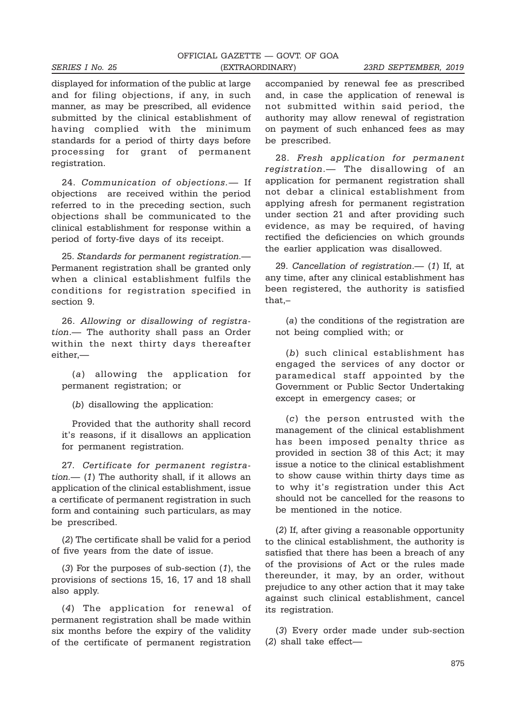displayed for information of the public at large and for filing objections, if any, in such manner, as may be prescribed, all evidence submitted by the clinical establishment of having complied with the minimum standards for a period of thirty days before processing for grant of permanent registration.

24. Communication of objections.— If objections are received within the period referred to in the preceding section, such objections shall be communicated to the clinical establishment for response within a period of forty-five days of its receipt.

25. Standards for permanent registration.— Permanent registration shall be granted only when a clinical establishment fulfils the conditions for registration specified in section 9.

26. Allowing or disallowing of registration.— The authority shall pass an Order within the next thirty days thereafter either,—

(a) allowing the application for permanent registration; or

(b) disallowing the application:

Provided that the authority shall record it's reasons, if it disallows an application for permanent registration.

27. Certificate for permanent registration.— (1) The authority shall, if it allows an application of the clinical establishment, issue a certificate of permanent registration in such form and containing such particulars, as may be prescribed.

(2) The certificate shall be valid for a period of five years from the date of issue.

(3) For the purposes of sub-section (1), the provisions of sections 15, 16, 17 and 18 shall also apply.

(4) The application for renewal of permanent registration shall be made within six months before the expiry of the validity of the certificate of permanent registration

accompanied by renewal fee as prescribed and, in case the application of renewal is not submitted within said period, the authority may allow renewal of registration on payment of such enhanced fees as may be prescribed.

28. Fresh application for permanent registration.— The disallowing of an application for permanent registration shall not debar a clinical establishment from applying afresh for permanent registration under section 21 and after providing such evidence, as may be required, of having rectified the deficiencies on which grounds the earlier application was disallowed.

29. Cancellation of registration.— (1) If, at any time, after any clinical establishment has been registered, the authority is satisfied that,–

(a) the conditions of the registration are not being complied with; or

(b) such clinical establishment has engaged the services of any doctor or paramedical staff appointed by the Government or Public Sector Undertaking except in emergency cases; or

(c) the person entrusted with the management of the clinical establishment has been imposed penalty thrice as provided in section 38 of this Act; it may issue a notice to the clinical establishment to show cause within thirty days time as to why it's registration under this Act should not be cancelled for the reasons to be mentioned in the notice.

(2) If, after giving a reasonable opportunity to the clinical establishment, the authority is satisfied that there has been a breach of any of the provisions of Act or the rules made thereunder, it may, by an order, without prejudice to any other action that it may take against such clinical establishment, cancel its registration.

(3) Every order made under sub-section (2) shall take effect—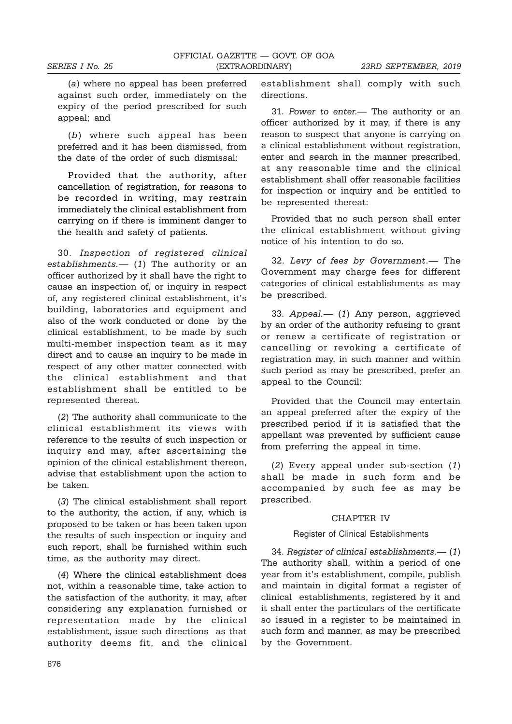(a) where no appeal has been preferred against such order, immediately on the expiry of the period prescribed for such appeal; and

(b) where such appeal has been preferred and it has been dismissed, from the date of the order of such dismissal:

Provided that the authority, after cancellation of registration, for reasons to be recorded in writing, may restrain immediately the clinical establishment from carrying on if there is imminent danger to the health and safety of patients.

30. Inspection of registered clinical establishments.— (1) The authority or an officer authorized by it shall have the right to cause an inspection of, or inquiry in respect of, any registered clinical establishment, it's building, laboratories and equipment and also of the work conducted or done by the clinical establishment, to be made by such multi-member inspection team as it may direct and to cause an inquiry to be made in respect of any other matter connected with the clinical establishment and that establishment shall be entitled to be represented thereat.

(2) The authority shall communicate to the clinical establishment its views with reference to the results of such inspection or inquiry and may, after ascertaining the opinion of the clinical establishment thereon, advise that establishment upon the action to be taken.

(3) The clinical establishment shall report to the authority, the action, if any, which is proposed to be taken or has been taken upon the results of such inspection or inquiry and such report, shall be furnished within such time, as the authority may direct.

(4) Where the clinical establishment does not, within a reasonable time, take action to the satisfaction of the authority, it may, after considering any explanation furnished or representation made by the clinical establishment, issue such directions as that authority deems fit, and the clinical establishment shall comply with such directions.

31. Power to enter.— The authority or an officer authorized by it may, if there is any reason to suspect that anyone is carrying on a clinical establishment without registration, enter and search in the manner prescribed, at any reasonable time and the clinical establishment shall offer reasonable facilities for inspection or inquiry and be entitled to be represented thereat:

Provided that no such person shall enter the clinical establishment without giving notice of his intention to do so.

32. Levy of fees by Government.— The Government may charge fees for different categories of clinical establishments as may be prescribed.

33. Appeal.— (1) Any person, aggrieved by an order of the authority refusing to grant or renew a certificate of registration or cancelling or revoking a certificate of registration may, in such manner and within such period as may be prescribed, prefer an appeal to the Council:

Provided that the Council may entertain an appeal preferred after the expiry of the prescribed period if it is satisfied that the appellant was prevented by sufficient cause from preferring the appeal in time.

(2) Every appeal under sub-section (1) shall be made in such form and be accompanied by such fee as may be prescribed.

#### CHAPTER IV

#### Register of Clinical Establishments

34. Register of clinical establishments.— (1) The authority shall, within a period of one year from it's establishment, compile, publish and maintain in digital format a register of clinical establishments, registered by it and it shall enter the particulars of the certificate so issued in a register to be maintained in such form and manner, as may be prescribed by the Government.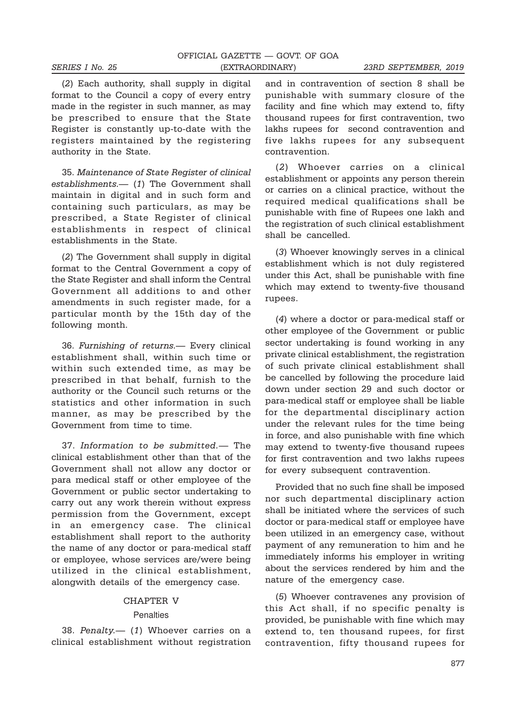(2) Each authority, shall supply in digital format to the Council a copy of every entry made in the register in such manner, as may be prescribed to ensure that the State Register is constantly up-to-date with the registers maintained by the registering authority in the State.

35. Maintenance of State Register of clinical establishments.— (1) The Government shall maintain in digital and in such form and containing such particulars, as may be prescribed, a State Register of clinical establishments in respect of clinical establishments in the State.

(2) The Government shall supply in digital format to the Central Government a copy of the State Register and shall inform the Central Government all additions to and other amendments in such register made, for a particular month by the 15th day of the following month.

36. Furnishing of returns.— Every clinical establishment shall, within such time or within such extended time, as may be prescribed in that behalf, furnish to the authority or the Council such returns or the statistics and other information in such manner, as may be prescribed by the Government from time to time.

37. Information to be submitted.— The clinical establishment other than that of the Government shall not allow any doctor or para medical staff or other employee of the Government or public sector undertaking to carry out any work therein without express permission from the Government, except in an emergency case. The clinical establishment shall report to the authority the name of any doctor or para-medical staff or employee, whose services are/were being utilized in the clinical establishment, alongwith details of the emergency case.

#### CHAPTER V

#### **Penalties**

38. Penalty.— (1) Whoever carries on a clinical establishment without registration

and in contravention of section 8 shall be punishable with summary closure of the facility and fine which may extend to, fifty thousand rupees for first contravention, two lakhs rupees for second contravention and five lakhs rupees for any subsequent contravention.

(2) Whoever carries on a clinical establishment or appoints any person therein or carries on a clinical practice, without the required medical qualifications shall be punishable with fine of Rupees one lakh and the registration of such clinical establishment shall be cancelled.

(3) Whoever knowingly serves in a clinical establishment which is not duly registered under this Act, shall be punishable with fine which may extend to twenty-five thousand rupees.

(4) where a doctor or para-medical staff or other employee of the Government or public sector undertaking is found working in any private clinical establishment, the registration of such private clinical establishment shall be cancelled by following the procedure laid down under section 29 and such doctor or para-medical staff or employee shall be liable for the departmental disciplinary action under the relevant rules for the time being in force, and also punishable with fine which may extend to twenty-five thousand rupees for first contravention and two lakhs rupees for every subsequent contravention.

Provided that no such fine shall be imposed nor such departmental disciplinary action shall be initiated where the services of such doctor or para-medical staff or employee have been utilized in an emergency case, without payment of any remuneration to him and he immediately informs his employer in writing about the services rendered by him and the nature of the emergency case.

(5) Whoever contravenes any provision of this Act shall, if no specific penalty is provided, be punishable with fine which may extend to, ten thousand rupees, for first contravention, fifty thousand rupees for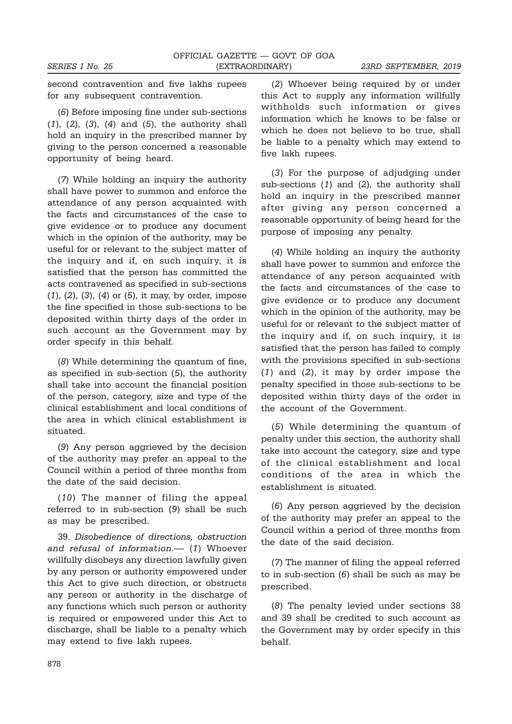second contravention and five lakhs rupees for any subsequent contravention.

(6) Before imposing fine under sub-sections  $(1)$ ,  $(2)$ ,  $(3)$ ,  $(4)$  and  $(5)$ , the authority shall hold an inquiry in the prescribed manner by giving to the person concerned a reasonable opportunity of being heard.

(7) While holding an inquiry the authority shall have power to summon and enforce the attendance of any person acquainted with the facts and circumstances of the case to give evidence or to produce any document which in the opinion of the authority, may be useful for or relevant to the subject matter of the inquiry and if, on such inquiry, it is satisfied that the person has committed the acts contravened as specified in sub-sections (1), (2), (3), (4) or (5), it may, by order, impose the fine specified in those sub-sections to be deposited within thirty days of the order in such account as the Government may by order specify in this behalf.

(8) While determining the quantum of fine, as specified in sub-section (5), the authority shall take into account the financial position of the person, category, size and type of the clinical establishment and local conditions of the area in which clinical establishment is situated.

(9) Any person aggrieved by the decision of the authority may prefer an appeal to the Council within a period of three months from the date of the said decision.

(10) The manner of filing the appeal referred to in sub-section (9) shall be such as may be prescribed.

39. Disobedience of directions, obstruction and refusal of information.— (1) Whoever willfully disobeys any direction lawfully given by any person or authority empowered under this Act to give such direction, or obstructs any person or authority in the discharge of any functions which such person or authority is required or empowered under this Act to discharge, shall be liable to a penalty which may extend to five lakh rupees.

(2) Whoever being required by or under this Act to supply any information willfully withholds such information or gives information which he knows to be false or which he does not believe to be true, shall be liable to a penalty which may extend to five lakh rupees.

(3) For the purpose of adjudging under sub-sections (1) and (2), the authority shall hold an inquiry in the prescribed manner after giving any person concerned a reasonable opportunity of being heard for the purpose of imposing any penalty.

(4) While holding an inquiry the authority shall have power to summon and enforce the attendance of any person acquainted with the facts and circumstances of the case to give evidence or to produce any document which in the opinion of the authority, may be useful for or relevant to the subject matter of the inquiry and if, on such inquiry, it is satisfied that the person has failed to comply with the provisions specified in sub-sections (1) and (2), it may by order impose the penalty specified in those sub-sections to be deposited within thirty days of the order in the account of the Government.

(5) While determining the quantum of penalty under this section, the authority shall take into account the category, size and type of the clinical establishment and local conditions of the area in which the establishment is situated.

(6) Any person aggrieved by the decision of the authority may prefer an appeal to the Council within a period of three months from the date of the said decision.

(7) The manner of filing the appeal referred to in sub-section (6) shall be such as may be prescribed.

(8) The penalty levied under sections 38 and 39 shall be credited to such account as the Government may by order specify in this behalf.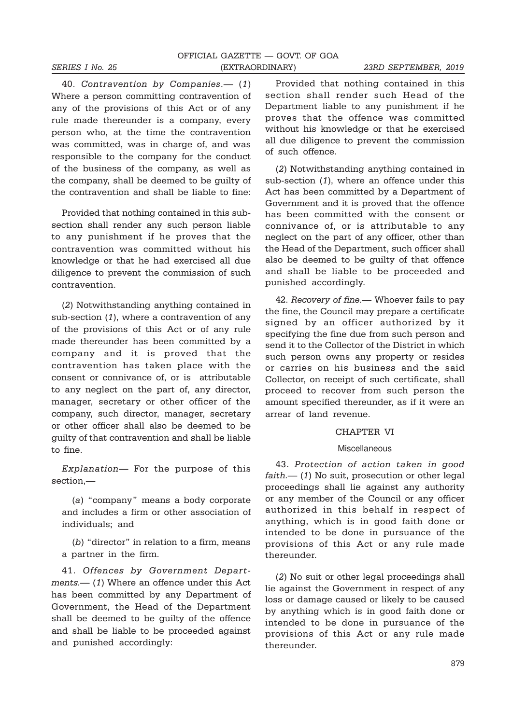40. Contravention by Companies.— (1) Where a person committing contravention of any of the provisions of this Act or of any rule made thereunder is a company, every person who, at the time the contravention was committed, was in charge of, and was responsible to the company for the conduct of the business of the company, as well as the company, shall be deemed to be guilty of the contravention and shall be liable to fine:

Provided that nothing contained in this subsection shall render any such person liable to any punishment if he proves that the contravention was committed without his knowledge or that he had exercised all due diligence to prevent the commission of such contravention.

(2) Notwithstanding anything contained in sub-section (1), where a contravention of any of the provisions of this Act or of any rule made thereunder has been committed by a company and it is proved that the contravention has taken place with the consent or connivance of, or is attributable to any neglect on the part of, any director, manager, secretary or other officer of the company, such director, manager, secretary or other officer shall also be deemed to be guilty of that contravention and shall be liable to fine.

Explanation— For the purpose of this section,—

(a) "company" means a body corporate and includes a firm or other association of individuals; and

(b) "director" in relation to a firm, means a partner in the firm.

41. Offences by Government Departments.— (1) Where an offence under this Act has been committed by any Department of Government, the Head of the Department shall be deemed to be guilty of the offence and shall be liable to be proceeded against and punished accordingly:

Provided that nothing contained in this section shall render such Head of the Department liable to any punishment if he proves that the offence was committed without his knowledge or that he exercised all due diligence to prevent the commission of such offence.

(2) Notwithstanding anything contained in sub-section (1), where an offence under this Act has been committed by a Department of Government and it is proved that the offence has been committed with the consent or connivance of, or is attributable to any neglect on the part of any officer, other than the Head of the Department, such officer shall also be deemed to be guilty of that offence and shall be liable to be proceeded and punished accordingly.

42. Recovery of fine.— Whoever fails to pay the fine, the Council may prepare a certificate signed by an officer authorized by it specifying the fine due from such person and send it to the Collector of the District in which such person owns any property or resides or carries on his business and the said Collector, on receipt of such certificate, shall proceed to recover from such person the amount specified thereunder, as if it were an arrear of land revenue.

#### CHAPTER VI

#### Miscellaneous

43. Protection of action taken in good  $faith$   $-$  (1) No suit, prosecution or other legal proceedings shall lie against any authority or any member of the Council or any officer authorized in this behalf in respect of anything, which is in good faith done or intended to be done in pursuance of the provisions of this Act or any rule made thereunder.

(2) No suit or other legal proceedings shall lie against the Government in respect of any loss or damage caused or likely to be caused by anything which is in good faith done or intended to be done in pursuance of the provisions of this Act or any rule made thereunder.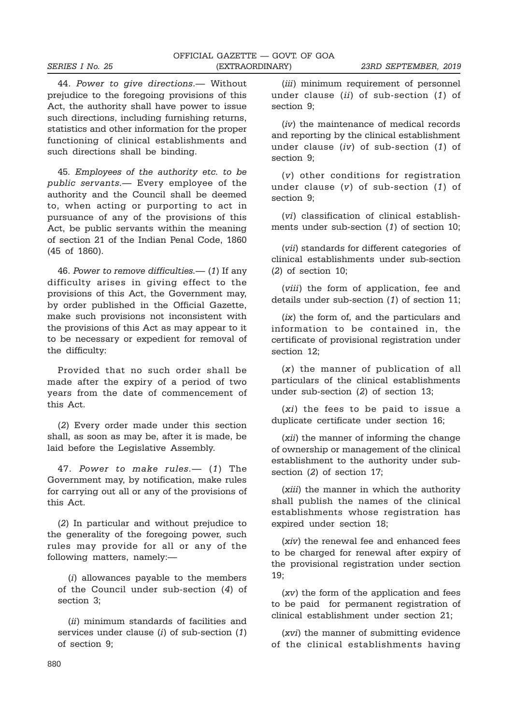44. Power to give directions.— Without prejudice to the foregoing provisions of this Act, the authority shall have power to issue such directions, including furnishing returns, statistics and other information for the proper functioning of clinical establishments and such directions shall be binding.

45. Employees of the authority etc. to be public servants.— Every employee of the authority and the Council shall be deemed to, when acting or purporting to act in pursuance of any of the provisions of this Act, be public servants within the meaning of section 21 of the Indian Penal Code, 1860 (45 of 1860).

46. Power to remove difficulties.— (1) If any difficulty arises in giving effect to the provisions of this Act, the Government may, by order published in the Official Gazette, make such provisions not inconsistent with the provisions of this Act as may appear to it to be necessary or expedient for removal of the difficulty:

Provided that no such order shall be made after the expiry of a period of two years from the date of commencement of this Act.

(2) Every order made under this section shall, as soon as may be, after it is made, be laid before the Legislative Assembly.

47. Power to make rules.— (1) The Government may, by notification, make rules for carrying out all or any of the provisions of this Act.

(2) In particular and without prejudice to the generality of the foregoing power, such rules may provide for all or any of the following matters, namely:—

(i) allowances payable to the members of the Council under sub-section (4) of section 3;

(ii) minimum standards of facilities and services under clause  $(i)$  of sub-section  $(1)$ of section 9;

(*iii*) minimum requirement of personnel under clause (ii) of sub-section (1) of section 9;

(iv) the maintenance of medical records and reporting by the clinical establishment under clause (iv) of sub-section (1) of section 9;

(v) other conditions for registration under clause  $(v)$  of sub-section  $(1)$  of section 9;

(vi) classification of clinical establishments under sub-section (1) of section 10;

(vii) standards for different categories of clinical establishments under sub-section (2) of section 10;

(viii) the form of application, fee and details under sub-section (1) of section 11;

(ix) the form of, and the particulars and information to be contained in, the certificate of provisional registration under section 12;

(x) the manner of publication of all particulars of the clinical establishments under sub-section (2) of section 13;

(xi) the fees to be paid to issue a duplicate certificate under section 16;

(xii) the manner of informing the change of ownership or management of the clinical establishment to the authority under subsection (2) of section 17;

(xiii) the manner in which the authority shall publish the names of the clinical establishments whose registration has expired under section 18;

(xiv) the renewal fee and enhanced fees to be charged for renewal after expiry of the provisional registration under section 19;

(xv) the form of the application and fees to be paid for permanent registration of clinical establishment under section 21;

(xvi) the manner of submitting evidence of the clinical establishments having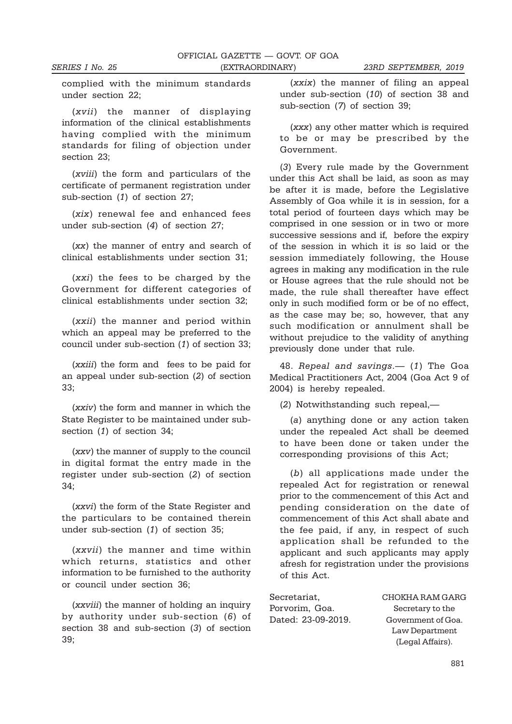complied with the minimum standards under section 22;

(xvii) the manner of displaying information of the clinical establishments having complied with the minimum standards for filing of objection under section 23;

(xviii) the form and particulars of the certificate of permanent registration under sub-section (1) of section 27;

(xix) renewal fee and enhanced fees under sub-section (4) of section 27;

(xx) the manner of entry and search of clinical establishments under section 31;

(xxi) the fees to be charged by the Government for different categories of clinical establishments under section 32;

(xxii) the manner and period within which an appeal may be preferred to the council under sub-section (1) of section 33;

(xxiii) the form and fees to be paid for an appeal under sub-section (2) of section 33;

(xxiv) the form and manner in which the State Register to be maintained under subsection (1) of section 34;

(xxv) the manner of supply to the council in digital format the entry made in the register under sub-section (2) of section 34;

(xxvi) the form of the State Register and the particulars to be contained therein under sub-section (1) of section 35;

(xxvii) the manner and time within which returns, statistics and other information to be furnished to the authority or council under section 36;

(xxviii) the manner of holding an inquiry by authority under sub-section (6) of section 38 and sub-section (3) of section 39;

(xxix) the manner of filing an appeal under sub-section (10) of section 38 and sub-section (7) of section 39;

(xxx) any other matter which is required to be or may be prescribed by the Government.

(3) Every rule made by the Government under this Act shall be laid, as soon as may be after it is made, before the Legislative Assembly of Goa while it is in session, for a total period of fourteen days which may be comprised in one session or in two or more successive sessions and if, before the expiry of the session in which it is so laid or the session immediately following, the House agrees in making any modification in the rule or House agrees that the rule should not be made, the rule shall thereafter have effect only in such modified form or be of no effect, as the case may be; so, however, that any such modification or annulment shall be without prejudice to the validity of anything previously done under that rule.

48. Repeal and savings.— (1) The Goa Medical Practitioners Act, 2004 (Goa Act 9 of 2004) is hereby repealed.

(2) Notwithstanding such repeal,—

(a) anything done or any action taken under the repealed Act shall be deemed to have been done or taken under the corresponding provisions of this Act;

(b) all applications made under the repealed Act for registration or renewal prior to the commencement of this Act and pending consideration on the date of commencement of this Act shall abate and the fee paid, if any, in respect of such application shall be refunded to the applicant and such applicants may apply afresh for registration under the provisions of this Act.

Porvorim, Goa. Secretary to the

Secretariat, CHOKHA RAM GARG Dated: 23-09-2019. Government of Goa. Law Department (Legal Affairs).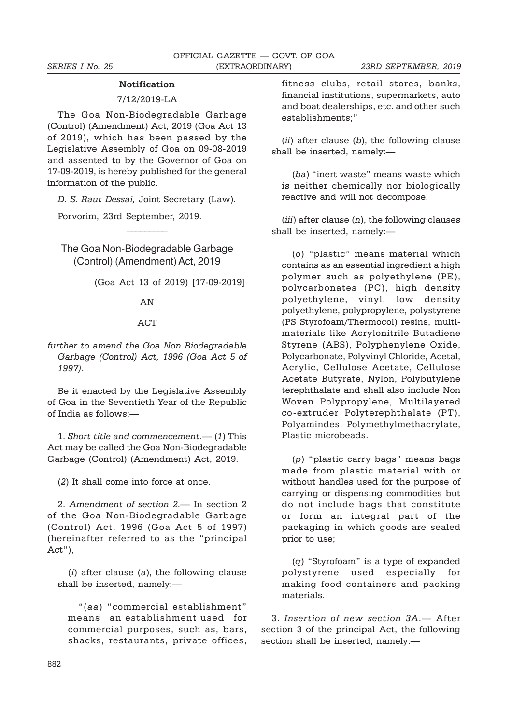#### Notification

#### 7/12/2019-LA

The Goa Non-Biodegradable Garbage (Control) (Amendment) Act, 2019 (Goa Act 13 of 2019), which has been passed by the Legislative Assembly of Goa on 09-08-2019 and assented to by the Governor of Goa on 17-09-2019, is hereby published for the general information of the public.

D. S. Raut Dessai, Joint Secretary (Law).

 $\overline{\phantom{a}}$ 

Porvorim, 23rd September, 2019.

The Goa Non-Biodegradable Garbage (Control) (Amendment) Act, 2019

(Goa Act 13 of 2019) [17-09-2019]

#### AN

#### ACT

further to amend the Goa Non Biodegradable Garbage (Control) Act, 1996 (Goa Act 5 of 1997).

Be it enacted by the Legislative Assembly of Goa in the Seventieth Year of the Republic of India as follows:—

1. Short title and commencement.— (1) This Act may be called the Goa Non-Biodegradable Garbage (Control) (Amendment) Act, 2019.

(2) It shall come into force at once.

2. Amendment of section 2.— In section 2 of the Goa Non-Biodegradable Garbage (Control) Act, 1996 (Goa Act 5 of 1997) (hereinafter referred to as the "principal Act"),

 $(i)$  after clause  $(a)$ , the following clause shall be inserted, namely:—

"(aa) "commercial establishment" means an establishment used for commercial purposes, such as, bars, shacks, restaurants, private offices, fitness clubs, retail stores, banks, financial institutions, supermarkets, auto and boat dealerships, etc. and other such establishments;"

 $(ii)$  after clause  $(b)$ , the following clause shall be inserted, namely:—

(ba) "inert waste" means waste which is neither chemically nor biologically reactive and will not decompose;

(iii) after clause  $(n)$ , the following clauses shall be inserted, namely:—

(o) "plastic" means material which contains as an essential ingredient a high polymer such as polyethylene (PE), polycarbonates (PC), high density polyethylene, vinyl, low density polyethylene, polypropylene, polystyrene (PS Styrofoam/Thermocol) resins, multimaterials like Acrylonitrile Butadiene Styrene (ABS), Polyphenylene Oxide, Polycarbonate, Polyvinyl Chloride, Acetal, Acrylic, Cellulose Acetate, Cellulose Acetate Butyrate, Nylon, Polybutylene terephthalate and shall also include Non Woven Polypropylene, Multilayered co-extruder Polyterephthalate (PT), Polyamindes, Polymethylmethacrylate, Plastic microbeads.

(p) "plastic carry bags" means bags made from plastic material with or without handles used for the purpose of carrying or dispensing commodities but do not include bags that constitute or form an integral part of the packaging in which goods are sealed prior to use;

(q) "Styrofoam" is a type of expanded polystyrene used especially for making food containers and packing materials.

3. Insertion of new section 3A.— After section 3 of the principal Act, the following section shall be inserted, namely:—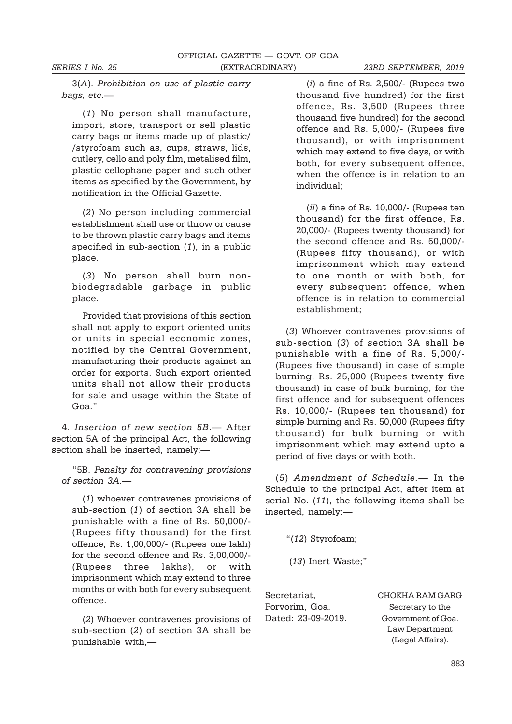3(A). Prohibition on use of plastic carry bags, etc.—

(1) No person shall manufacture, import, store, transport or sell plastic carry bags or items made up of plastic/ /styrofoam such as, cups, straws, lids, cutlery, cello and poly film, metalised film, plastic cellophane paper and such other items as specified by the Government, by notification in the Official Gazette.

(2) No person including commercial establishment shall use or throw or cause to be thrown plastic carry bags and items specified in sub-section (1), in a public place.

(3) No person shall burn nonbiodegradable garbage in public place.

Provided that provisions of this section shall not apply to export oriented units or units in special economic zones, notified by the Central Government, manufacturing their products against an order for exports. Such export oriented units shall not allow their products for sale and usage within the State of Goa."

4. Insertion of new section 5B.— After section 5A of the principal Act, the following section shall be inserted, namely:—

"5B. Penalty for contravening provisions of section 3A.—

(1) whoever contravenes provisions of sub-section (1) of section 3A shall be punishable with a fine of Rs. 50,000/- (Rupees fifty thousand) for the first offence, Rs. 1,00,000/- (Rupees one lakh) for the second offence and Rs. 3,00,000/- (Rupees three lakhs), or with imprisonment which may extend to three months or with both for every subsequent offence.

(2) Whoever contravenes provisions of sub-section (2) of section 3A shall be punishable with,—

 $(i)$  a fine of Rs. 2,500/- (Rupees two thousand five hundred) for the first offence, Rs. 3,500 (Rupees three thousand five hundred) for the second offence and Rs. 5,000/- (Rupees five thousand), or with imprisonment which may extend to five days, or with both, for every subsequent offence, when the offence is in relation to an individual;

 $(ii)$  a fine of Rs. 10,000/- (Rupees ten thousand) for the first offence, Rs. 20,000/- (Rupees twenty thousand) for the second offence and Rs. 50,000/- (Rupees fifty thousand), or with imprisonment which may extend to one month or with both, for every subsequent offence, when offence is in relation to commercial establishment;

(3) Whoever contravenes provisions of sub-section (3) of section 3A shall be punishable with a fine of Rs. 5,000/- (Rupees five thousand) in case of simple burning, Rs. 25,000 (Rupees twenty five thousand) in case of bulk burning, for the first offence and for subsequent offences Rs. 10,000/- (Rupees ten thousand) for simple burning and Rs. 50,000 (Rupees fifty thousand) for bulk burning or with imprisonment which may extend upto a period of five days or with both.

(5) Amendment of Schedule.— In the Schedule to the principal Act, after item at serial No. (11), the following items shall be inserted, namely:—

"(12) Styrofoam;

(13) Inert Waste;"

Porvorim, Goa. Secretary to the

Secretariat, CHOKHA RAM GARG Dated: 23-09-2019. Government of Goa. Law Department (Legal Affairs).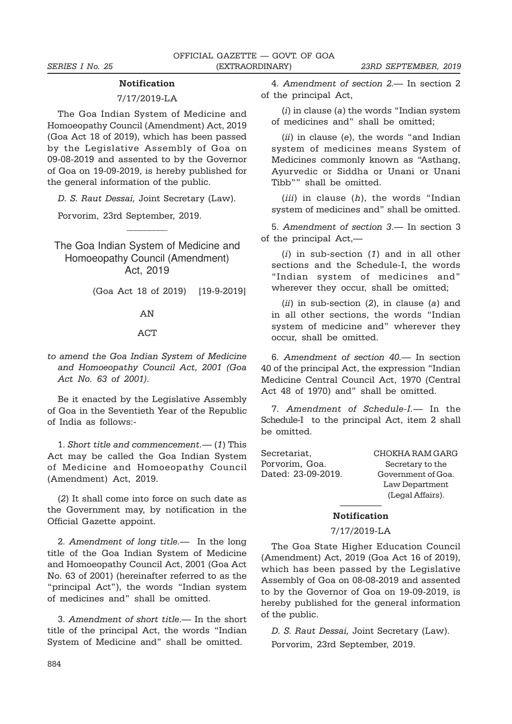#### Notification

#### 7/17/2019-LA

The Goa Indian System of Medicine and Homoeopathy Council (Amendment) Act, 2019 (Goa Act 18 of 2019), which has been passed by the Legislative Assembly of Goa on 09-08-2019 and assented to by the Governor of Goa on 19-09-2019, is hereby published for the general information of the public.

D. S. Raut Dessai, Joint Secretary (Law).

 $\overline{\phantom{a}}$ 

Porvorim, 23rd September, 2019.

The Goa Indian System of Medicine and Homoeopathy Council (Amendment) Act, 2019

(Goa Act 18 of 2019) [19-9-2019]

#### AN

#### ACT

to amend the Goa Indian System of Medicine and Homoeopathy Council Act, 2001 (Goa Act No. 63 of 2001).

Be it enacted by the Legislative Assembly of Goa in the Seventieth Year of the Republic of India as follows:-

1. Short title and commencement.— (1) This Act may be called the Goa Indian System of Medicine and Homoeopathy Council (Amendment) Act, 2019.

(2) It shall come into force on such date as the Government may, by notification in the Official Gazette appoint.

2. Amendment of long title.— In the long title of the Goa Indian System of Medicine and Homoeopathy Council Act, 2001 (Goa Act No. 63 of 2001) (hereinafter referred to as the "principal Act"), the words "Indian system of medicines and" shall be omitted.

3. Amendment of short title.— In the short title of the principal Act, the words "Indian System of Medicine and" shall be omitted.

4. Amendment of section 2.— In section 2 of the principal Act,

 $(i)$  in clause  $(a)$  the words "Indian system of medicines and" shall be omitted;

 $(ii)$  in clause (e), the words "and Indian system of medicines means System of Medicines commonly known as "Asthang, Ayurvedic or Siddha or Unani or Unani Tibb"" shall be omitted.

(*iii*) in clause  $(h)$ , the words "Indian system of medicines and" shall be omitted.

5. Amendment of section 3.— In section 3 of the principal Act,—

(i) in sub-section (1) and in all other sections and the Schedule-I, the words "Indian system of medicines and" wherever they occur, shall be omitted;

 $(ii)$  in sub-section  $(2)$ , in clause  $(a)$  and in all other sections, the words "Indian system of medicine and" wherever they occur, shall be omitted.

6. Amendment of section 40.— In section 40 of the principal Act, the expression "Indian Medicine Central Council Act, 1970 (Central Act 48 of 1970) and" shall be omitted.

7. Amendment of Schedule-I.— In the Schedule-I to the principal Act, item 2 shall be omitted.

| Secretariat,       | CHOKHA RAM GARG    |
|--------------------|--------------------|
| Porvorim, Goa.     | Secretary to the   |
| Dated: 23-09-2019. | Government of Goa. |
|                    | Law Department     |
|                    | (Legal Affairs).   |

#### ————— Notification

7/17/2019-LA

The Goa State Higher Education Council (Amendment) Act, 2019 (Goa Act 16 of 2019), which has been passed by the Legislative Assembly of Goa on 08-08-2019 and assented to by the Governor of Goa on 19-09-2019, is hereby published for the general information of the public.

D. S. Raut Dessai, Joint Secretary (Law). Porvorim, 23rd September, 2019.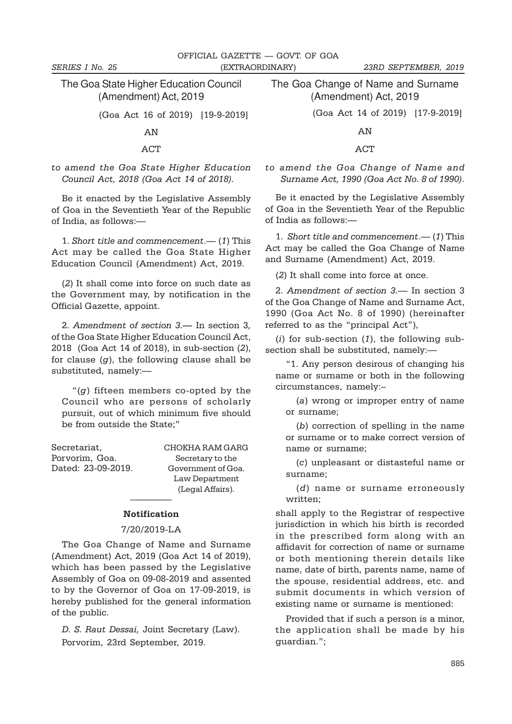The Goa State Higher Education Council (Amendment) Act, 2019

(Goa Act 16 of 2019) [19-9-2019]

AN

ACT

to amend the Goa State Higher Education Council Act, 2018 (Goa Act 14 of 2018).

Be it enacted by the Legislative Assembly of Goa in the Seventieth Year of the Republic of India, as follows:—

1. Short title and commencement.— (1) This Act may be called the Goa State Higher Education Council (Amendment) Act, 2019.

(2) It shall come into force on such date as the Government may, by notification in the Official Gazette, appoint.

2. Amendment of section 3.— In section 3, of the Goa State Higher Education Council Act, 2018 (Goa Act 14 of 2018), in sub-section (2), for clause  $(q)$ , the following clause shall be substituted, namely:—

" $(g)$  fifteen members co-opted by the Council who are persons of scholarly pursuit, out of which minimum five should be from outside the State;"

| Secretariat,       | CHOKHA RAM GARG    |
|--------------------|--------------------|
| Porvorim, Goa.     | Secretary to the   |
| Dated: 23-09-2019. | Government of Goa. |
|                    | Law Department     |
|                    | (Legal Affairs).   |

# ————— Notification

#### 7/20/2019-LA

The Goa Change of Name and Surname (Amendment) Act, 2019 (Goa Act 14 of 2019), which has been passed by the Legislative Assembly of Goa on 09-08-2019 and assented to by the Governor of Goa on 17-09-2019, is hereby published for the general information of the public.

D. S. Raut Dessai, Joint Secretary (Law). Porvorim, 23rd September, 2019.

The Goa Change of Name and Surname (Amendment) Act, 2019

(Goa Act 14 of 2019) [17-9-2019]

AN

ACT

to amend the Goa Change of Name and Surname Act, 1990 (Goa Act No. 8 of 1990).

Be it enacted by the Legislative Assembly of Goa in the Seventieth Year of the Republic of India as follows:—

1. Short title and commencement.— (1) This Act may be called the Goa Change of Name and Surname (Amendment) Act, 2019.

(2) It shall come into force at once.

2. Amendment of section 3.— In section 3 of the Goa Change of Name and Surname Act, 1990 (Goa Act No. 8 of 1990) (hereinafter referred to as the "principal Act"),

(i) for sub-section  $(1)$ , the following subsection shall be substituted, namely:—

"1. Any person desirous of changing his name or surname or both in the following circumstances, namely:–

(a) wrong or improper entry of name or surname;

(b) correction of spelling in the name or surname or to make correct version of name or surname;

(c) unpleasant or distasteful name or surname;

(d) name or surname erroneously written;

shall apply to the Registrar of respective jurisdiction in which his birth is recorded in the prescribed form along with an affidavit for correction of name or surname or both mentioning therein details like name, date of birth, parents name, name of the spouse, residential address, etc. and submit documents in which version of existing name or surname is mentioned:

Provided that if such a person is a minor, the application shall be made by his guardian.";